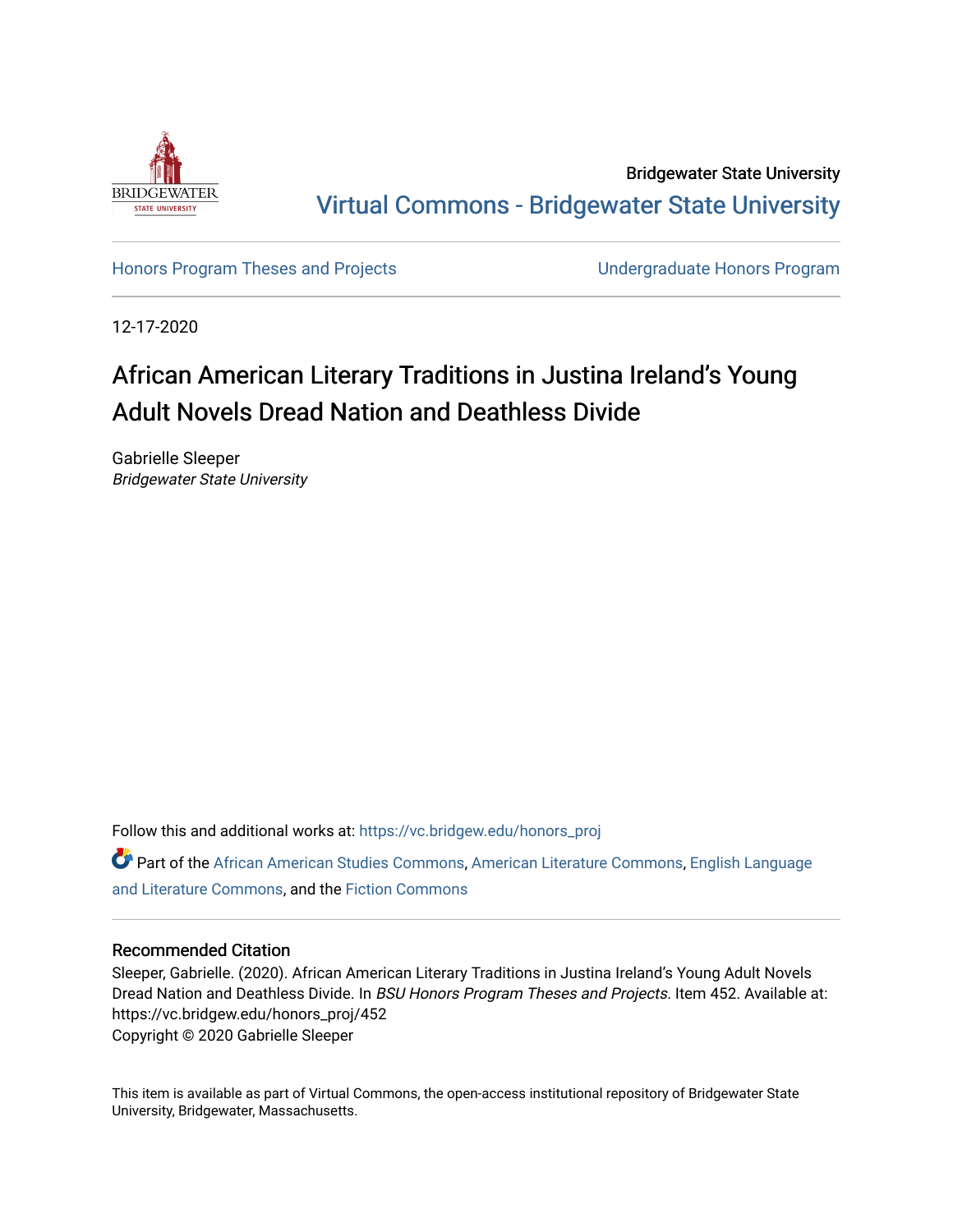

Bridgewater State University [Virtual Commons - Bridgewater State University](https://vc.bridgew.edu/) 

[Honors Program Theses and Projects](https://vc.bridgew.edu/honors_proj) [Undergraduate Honors Program](https://vc.bridgew.edu/honors) 

12-17-2020

# African American Literary Traditions in Justina Ireland's Young Adult Novels Dread Nation and Deathless Divide

Gabrielle Sleeper Bridgewater State University

Follow this and additional works at: [https://vc.bridgew.edu/honors\\_proj](https://vc.bridgew.edu/honors_proj?utm_source=vc.bridgew.edu%2Fhonors_proj%2F452&utm_medium=PDF&utm_campaign=PDFCoverPages)

Part of the [African American Studies Commons,](http://network.bepress.com/hgg/discipline/567?utm_source=vc.bridgew.edu%2Fhonors_proj%2F452&utm_medium=PDF&utm_campaign=PDFCoverPages) [American Literature Commons](http://network.bepress.com/hgg/discipline/441?utm_source=vc.bridgew.edu%2Fhonors_proj%2F452&utm_medium=PDF&utm_campaign=PDFCoverPages), [English Language](http://network.bepress.com/hgg/discipline/455?utm_source=vc.bridgew.edu%2Fhonors_proj%2F452&utm_medium=PDF&utm_campaign=PDFCoverPages) [and Literature Commons](http://network.bepress.com/hgg/discipline/455?utm_source=vc.bridgew.edu%2Fhonors_proj%2F452&utm_medium=PDF&utm_campaign=PDFCoverPages), and the [Fiction Commons](http://network.bepress.com/hgg/discipline/1151?utm_source=vc.bridgew.edu%2Fhonors_proj%2F452&utm_medium=PDF&utm_campaign=PDFCoverPages) 

#### Recommended Citation

Sleeper, Gabrielle. (2020). African American Literary Traditions in Justina Ireland's Young Adult Novels Dread Nation and Deathless Divide. In BSU Honors Program Theses and Projects. Item 452. Available at: https://vc.bridgew.edu/honors\_proj/452 Copyright © 2020 Gabrielle Sleeper

This item is available as part of Virtual Commons, the open-access institutional repository of Bridgewater State University, Bridgewater, Massachusetts.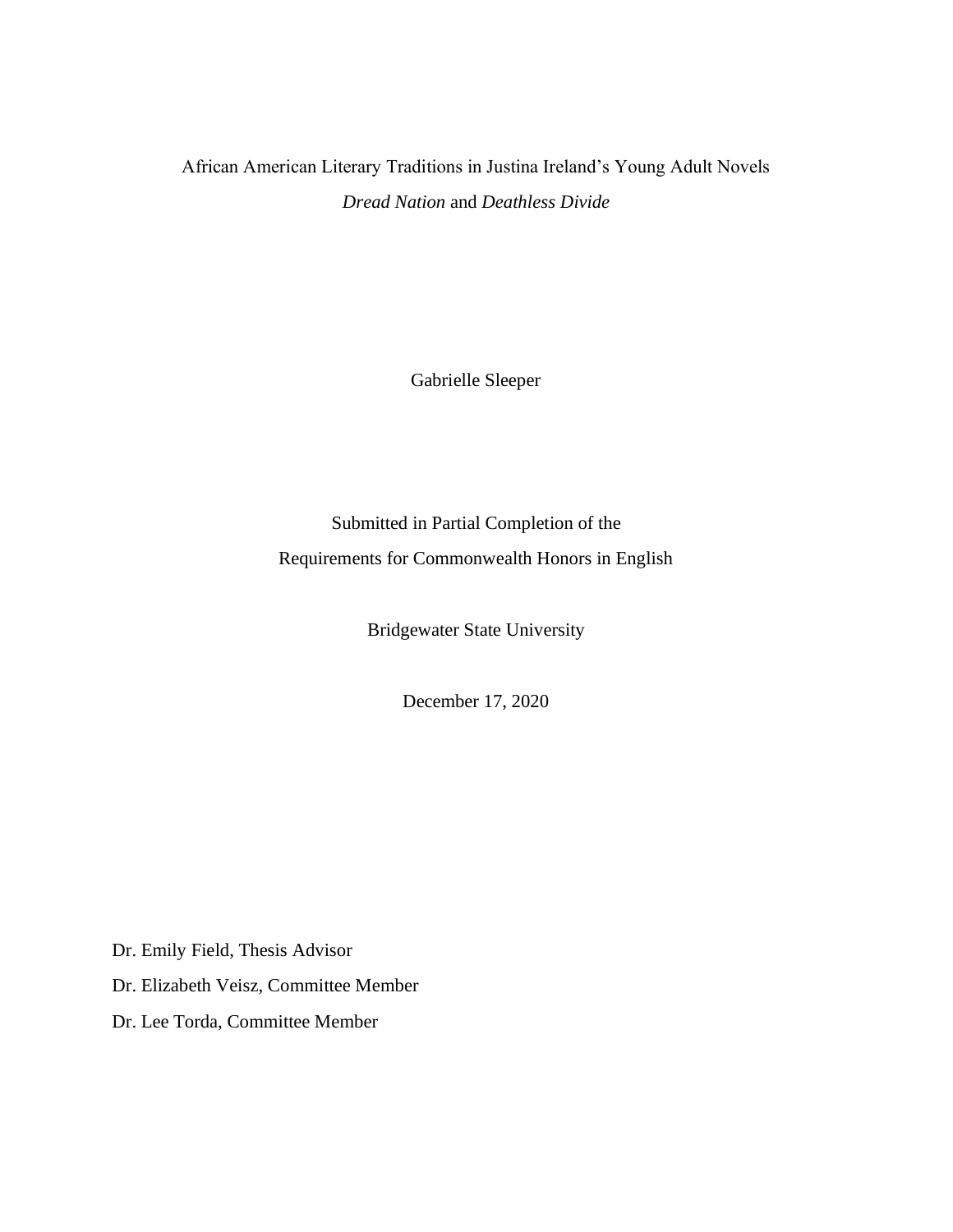African American Literary Traditions in Justina Ireland's Young Adult Novels *Dread Nation* and *Deathless Divide*

Gabrielle Sleeper

Submitted in Partial Completion of the Requirements for Commonwealth Honors in English

Bridgewater State University

December 17, 2020

Dr. Emily Field, Thesis Advisor

Dr. Elizabeth Veisz, Committee Member

Dr. Lee Torda, Committee Member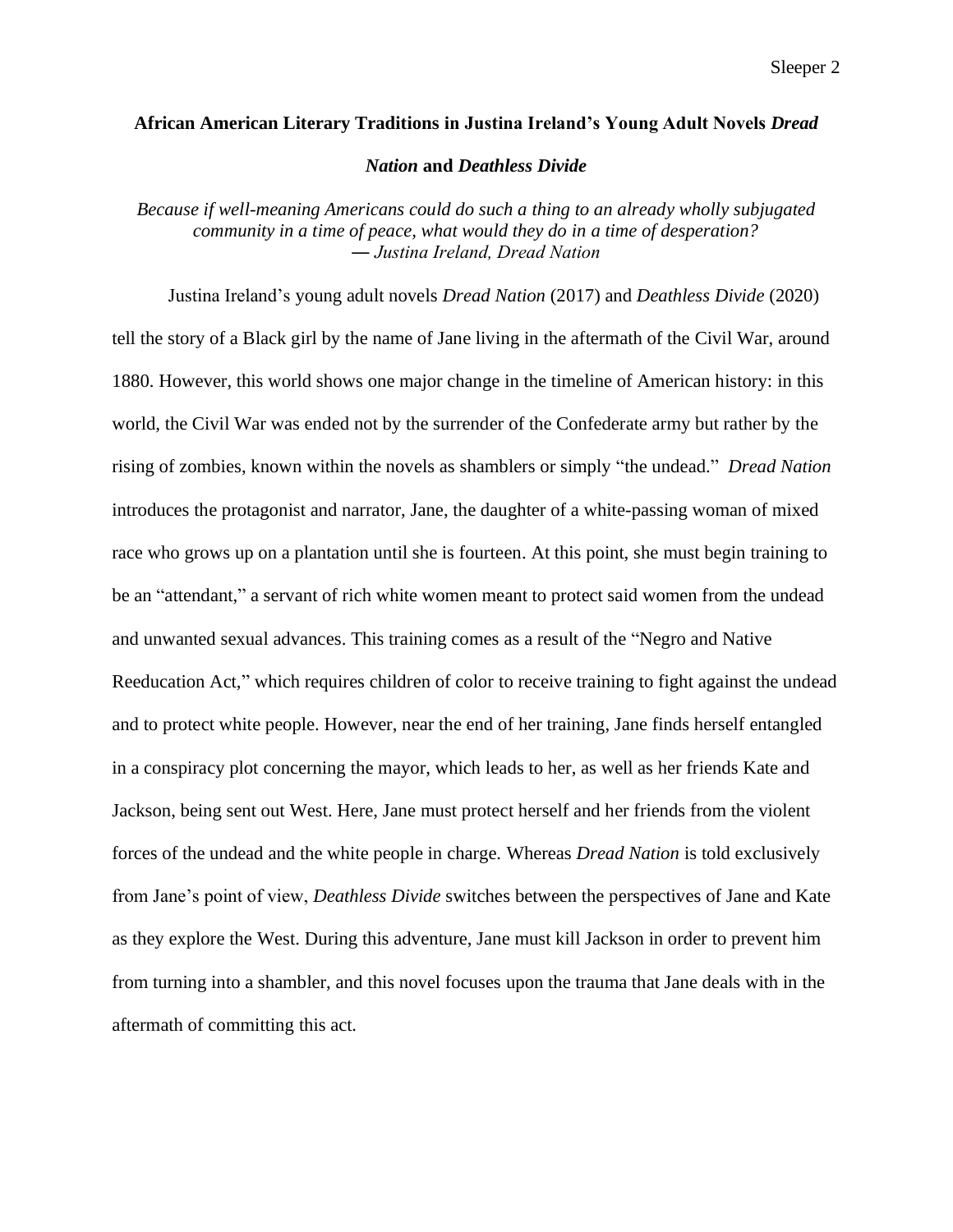# **African American Literary Traditions in Justina Ireland's Young Adult Novels** *Dread*

*Nation* **and** *Deathless Divide*

*Because if well-meaning Americans could do such a thing to an already wholly subjugated community in a time of peace, what would they do in a time of desperation? ― Justina Ireland, Dread Nation*

Justina Ireland's young adult novels *Dread Nation* (2017) and *Deathless Divide* (2020) tell the story of a Black girl by the name of Jane living in the aftermath of the Civil War, around 1880. However, this world shows one major change in the timeline of American history: in this world, the Civil War was ended not by the surrender of the Confederate army but rather by the rising of zombies, known within the novels as shamblers or simply "the undead." *Dread Nation*  introduces the protagonist and narrator, Jane, the daughter of a white-passing woman of mixed race who grows up on a plantation until she is fourteen. At this point, she must begin training to be an "attendant," a servant of rich white women meant to protect said women from the undead and unwanted sexual advances. This training comes as a result of the "Negro and Native Reeducation Act," which requires children of color to receive training to fight against the undead and to protect white people. However, near the end of her training, Jane finds herself entangled in a conspiracy plot concerning the mayor, which leads to her, as well as her friends Kate and Jackson, being sent out West. Here, Jane must protect herself and her friends from the violent forces of the undead and the white people in charge. Whereas *Dread Nation* is told exclusively from Jane's point of view, *Deathless Divide* switches between the perspectives of Jane and Kate as they explore the West. During this adventure, Jane must kill Jackson in order to prevent him from turning into a shambler, and this novel focuses upon the trauma that Jane deals with in the aftermath of committing this act.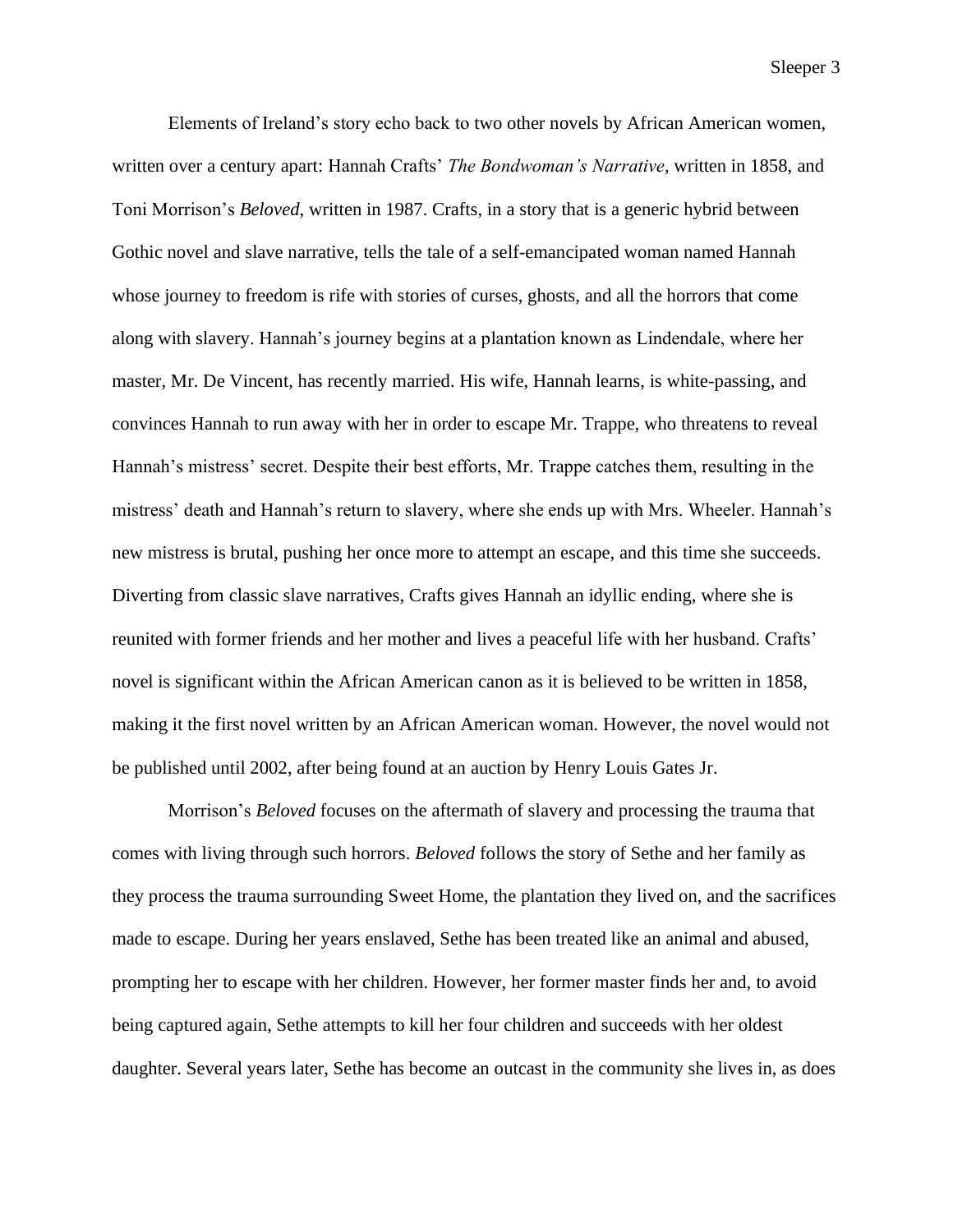Elements of Ireland's story echo back to two other novels by African American women, written over a century apart: Hannah Crafts' *The Bondwoman's Narrative*, written in 1858, and Toni Morrison's *Beloved*, written in 1987. Crafts, in a story that is a generic hybrid between Gothic novel and slave narrative, tells the tale of a self-emancipated woman named Hannah whose journey to freedom is rife with stories of curses, ghosts, and all the horrors that come along with slavery. Hannah's journey begins at a plantation known as Lindendale, where her master, Mr. De Vincent, has recently married. His wife, Hannah learns, is white-passing, and convinces Hannah to run away with her in order to escape Mr. Trappe, who threatens to reveal Hannah's mistress' secret. Despite their best efforts, Mr. Trappe catches them, resulting in the mistress' death and Hannah's return to slavery, where she ends up with Mrs. Wheeler. Hannah's new mistress is brutal, pushing her once more to attempt an escape, and this time she succeeds. Diverting from classic slave narratives, Crafts gives Hannah an idyllic ending, where she is reunited with former friends and her mother and lives a peaceful life with her husband. Crafts' novel is significant within the African American canon as it is believed to be written in 1858, making it the first novel written by an African American woman. However, the novel would not be published until 2002, after being found at an auction by Henry Louis Gates Jr.

Morrison's *Beloved* focuses on the aftermath of slavery and processing the trauma that comes with living through such horrors. *Beloved* follows the story of Sethe and her family as they process the trauma surrounding Sweet Home, the plantation they lived on, and the sacrifices made to escape. During her years enslaved, Sethe has been treated like an animal and abused, prompting her to escape with her children. However, her former master finds her and, to avoid being captured again, Sethe attempts to kill her four children and succeeds with her oldest daughter. Several years later, Sethe has become an outcast in the community she lives in, as does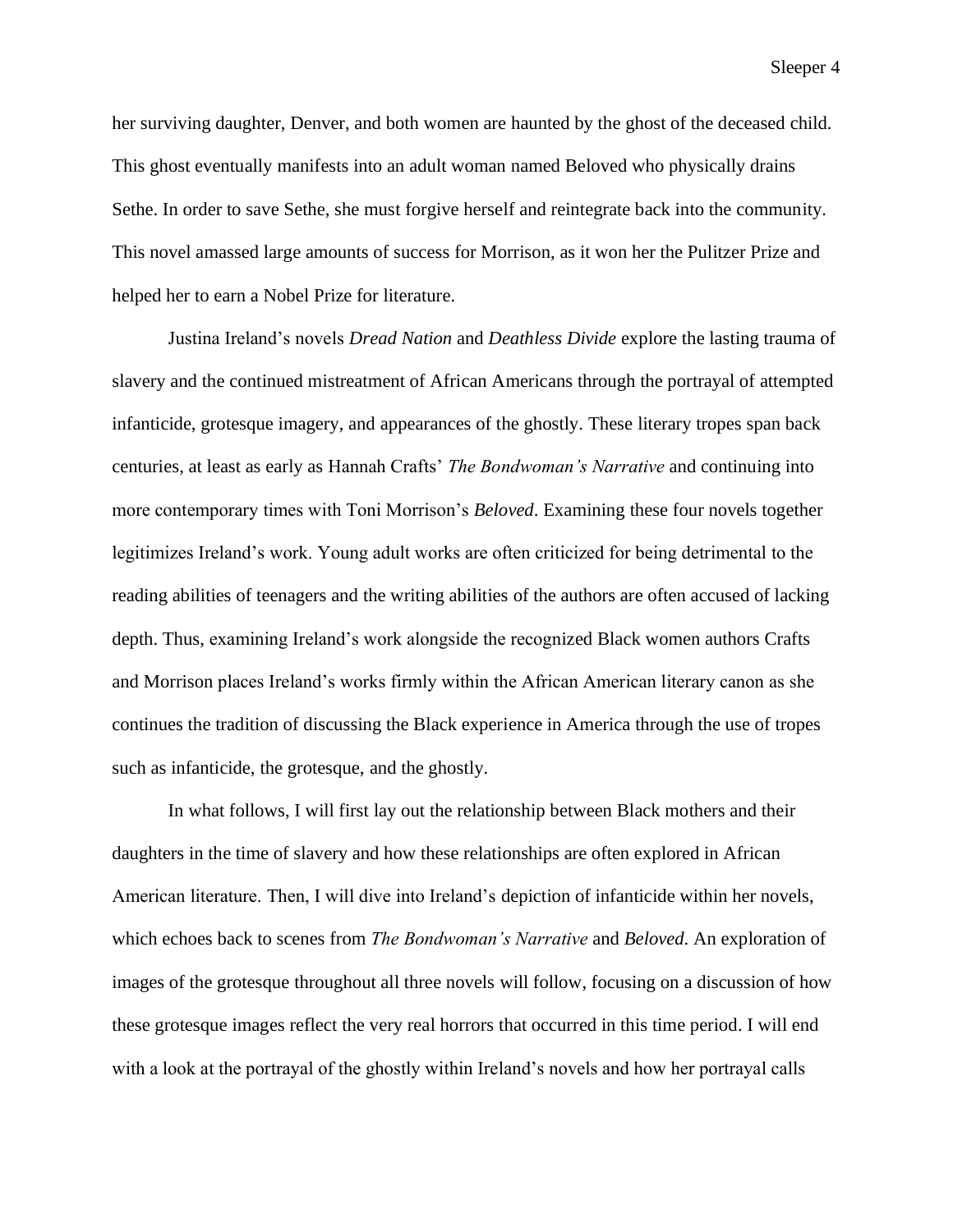her surviving daughter, Denver, and both women are haunted by the ghost of the deceased child. This ghost eventually manifests into an adult woman named Beloved who physically drains Sethe. In order to save Sethe, she must forgive herself and reintegrate back into the community. This novel amassed large amounts of success for Morrison, as it won her the Pulitzer Prize and helped her to earn a Nobel Prize for literature.

Justina Ireland's novels *Dread Nation* and *Deathless Divide* explore the lasting trauma of slavery and the continued mistreatment of African Americans through the portrayal of attempted infanticide, grotesque imagery, and appearances of the ghostly. These literary tropes span back centuries, at least as early as Hannah Crafts' *The Bondwoman's Narrative* and continuing into more contemporary times with Toni Morrison's *Beloved*. Examining these four novels together legitimizes Ireland's work. Young adult works are often criticized for being detrimental to the reading abilities of teenagers and the writing abilities of the authors are often accused of lacking depth. Thus, examining Ireland's work alongside the recognized Black women authors Crafts and Morrison places Ireland's works firmly within the African American literary canon as she continues the tradition of discussing the Black experience in America through the use of tropes such as infanticide, the grotesque, and the ghostly.

In what follows, I will first lay out the relationship between Black mothers and their daughters in the time of slavery and how these relationships are often explored in African American literature. Then, I will dive into Ireland's depiction of infanticide within her novels, which echoes back to scenes from *The Bondwoman's Narrative* and *Beloved*. An exploration of images of the grotesque throughout all three novels will follow, focusing on a discussion of how these grotesque images reflect the very real horrors that occurred in this time period. I will end with a look at the portrayal of the ghostly within Ireland's novels and how her portrayal calls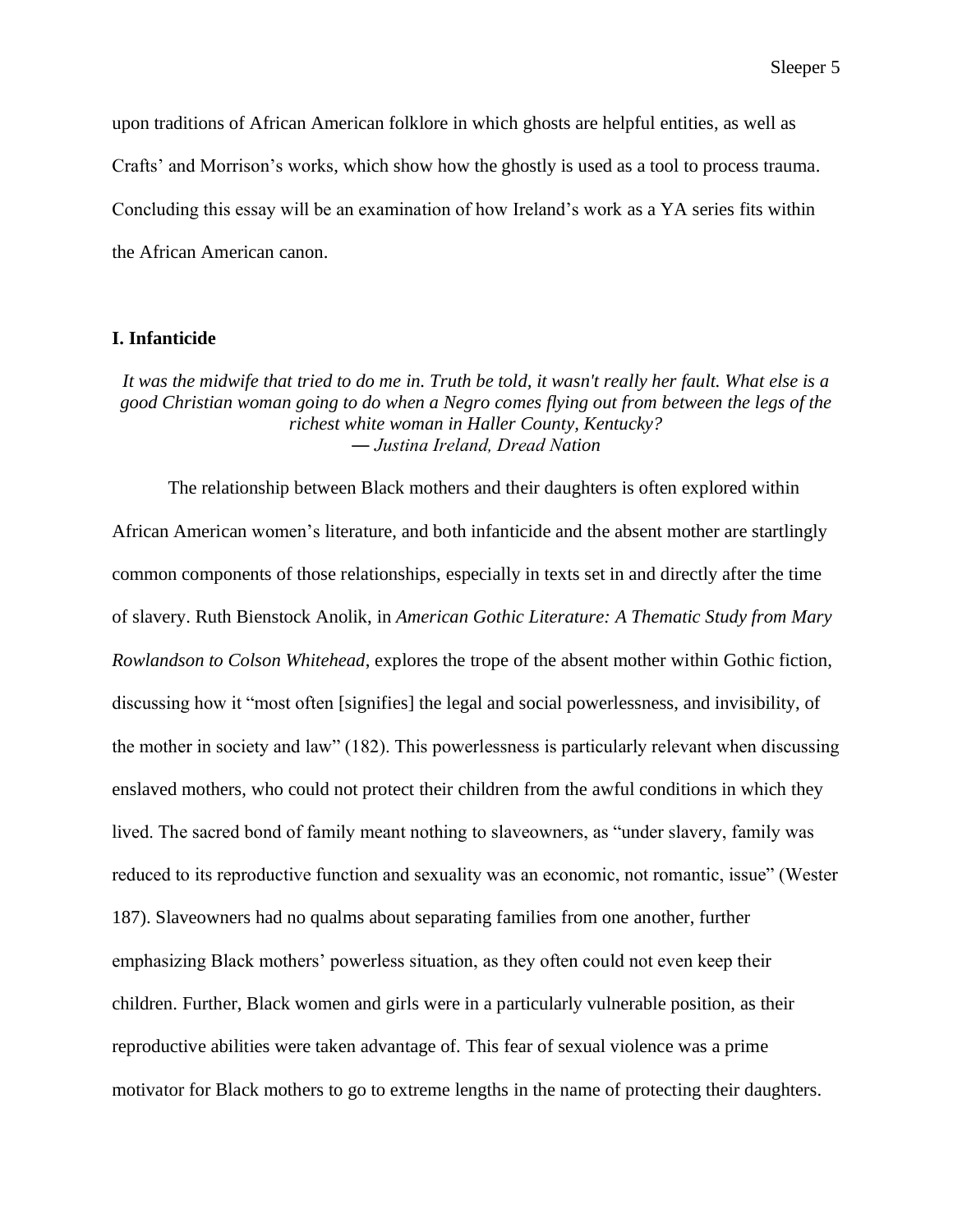upon traditions of African American folklore in which ghosts are helpful entities, as well as Crafts' and Morrison's works, which show how the ghostly is used as a tool to process trauma. Concluding this essay will be an examination of how Ireland's work as a YA series fits within the African American canon.

## **I. Infanticide**

*It was the midwife that tried to do me in. Truth be told, it wasn't really her fault. What else is a good Christian woman going to do when a Negro comes flying out from between the legs of the richest white woman in Haller County, Kentucky? ― Justina Ireland, Dread Nation*

The relationship between Black mothers and their daughters is often explored within African American women's literature, and both infanticide and the absent mother are startlingly common components of those relationships, especially in texts set in and directly after the time of slavery. Ruth Bienstock Anolik, in *American Gothic Literature: A Thematic Study from Mary Rowlandson to Colson Whitehead*, explores the trope of the absent mother within Gothic fiction, discussing how it "most often [signifies] the legal and social powerlessness, and invisibility, of the mother in society and law" (182). This powerlessness is particularly relevant when discussing enslaved mothers, who could not protect their children from the awful conditions in which they lived. The sacred bond of family meant nothing to slaveowners, as "under slavery, family was reduced to its reproductive function and sexuality was an economic, not romantic, issue" (Wester 187). Slaveowners had no qualms about separating families from one another, further emphasizing Black mothers' powerless situation, as they often could not even keep their children. Further, Black women and girls were in a particularly vulnerable position, as their reproductive abilities were taken advantage of. This fear of sexual violence was a prime motivator for Black mothers to go to extreme lengths in the name of protecting their daughters.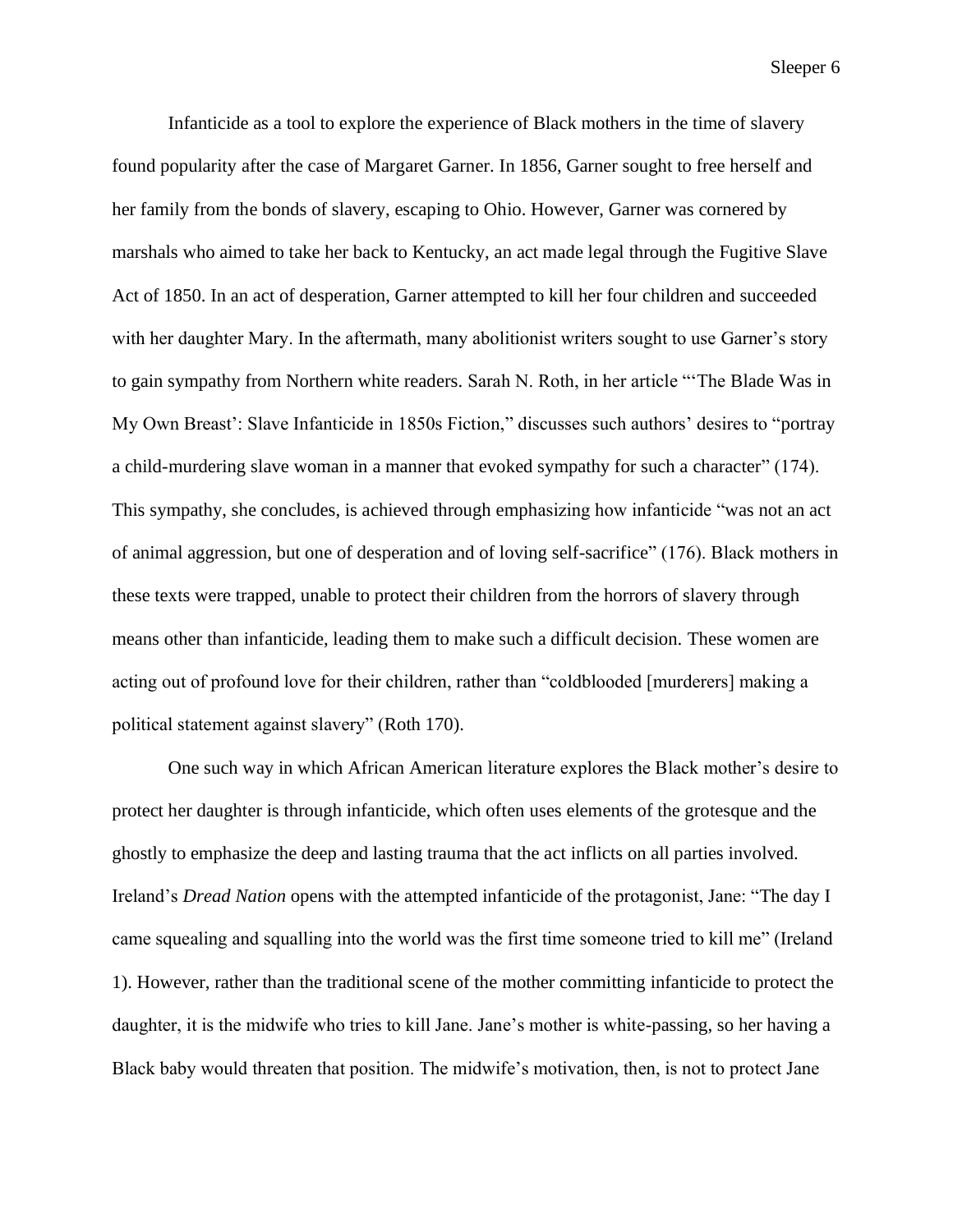Infanticide as a tool to explore the experience of Black mothers in the time of slavery found popularity after the case of Margaret Garner. In 1856, Garner sought to free herself and her family from the bonds of slavery, escaping to Ohio. However, Garner was cornered by marshals who aimed to take her back to Kentucky, an act made legal through the Fugitive Slave Act of 1850. In an act of desperation, Garner attempted to kill her four children and succeeded with her daughter Mary. In the aftermath, many abolitionist writers sought to use Garner's story to gain sympathy from Northern white readers. Sarah N. Roth, in her article "'The Blade Was in My Own Breast': Slave Infanticide in 1850s Fiction," discusses such authors' desires to "portray a child-murdering slave woman in a manner that evoked sympathy for such a character" (174). This sympathy, she concludes, is achieved through emphasizing how infanticide "was not an act of animal aggression, but one of desperation and of loving self-sacrifice" (176). Black mothers in these texts were trapped, unable to protect their children from the horrors of slavery through means other than infanticide, leading them to make such a difficult decision. These women are acting out of profound love for their children, rather than "coldblooded [murderers] making a political statement against slavery" (Roth 170).

One such way in which African American literature explores the Black mother's desire to protect her daughter is through infanticide, which often uses elements of the grotesque and the ghostly to emphasize the deep and lasting trauma that the act inflicts on all parties involved. Ireland's *Dread Nation* opens with the attempted infanticide of the protagonist, Jane: "The day I came squealing and squalling into the world was the first time someone tried to kill me" (Ireland 1). However, rather than the traditional scene of the mother committing infanticide to protect the daughter, it is the midwife who tries to kill Jane. Jane's mother is white-passing, so her having a Black baby would threaten that position. The midwife's motivation, then, is not to protect Jane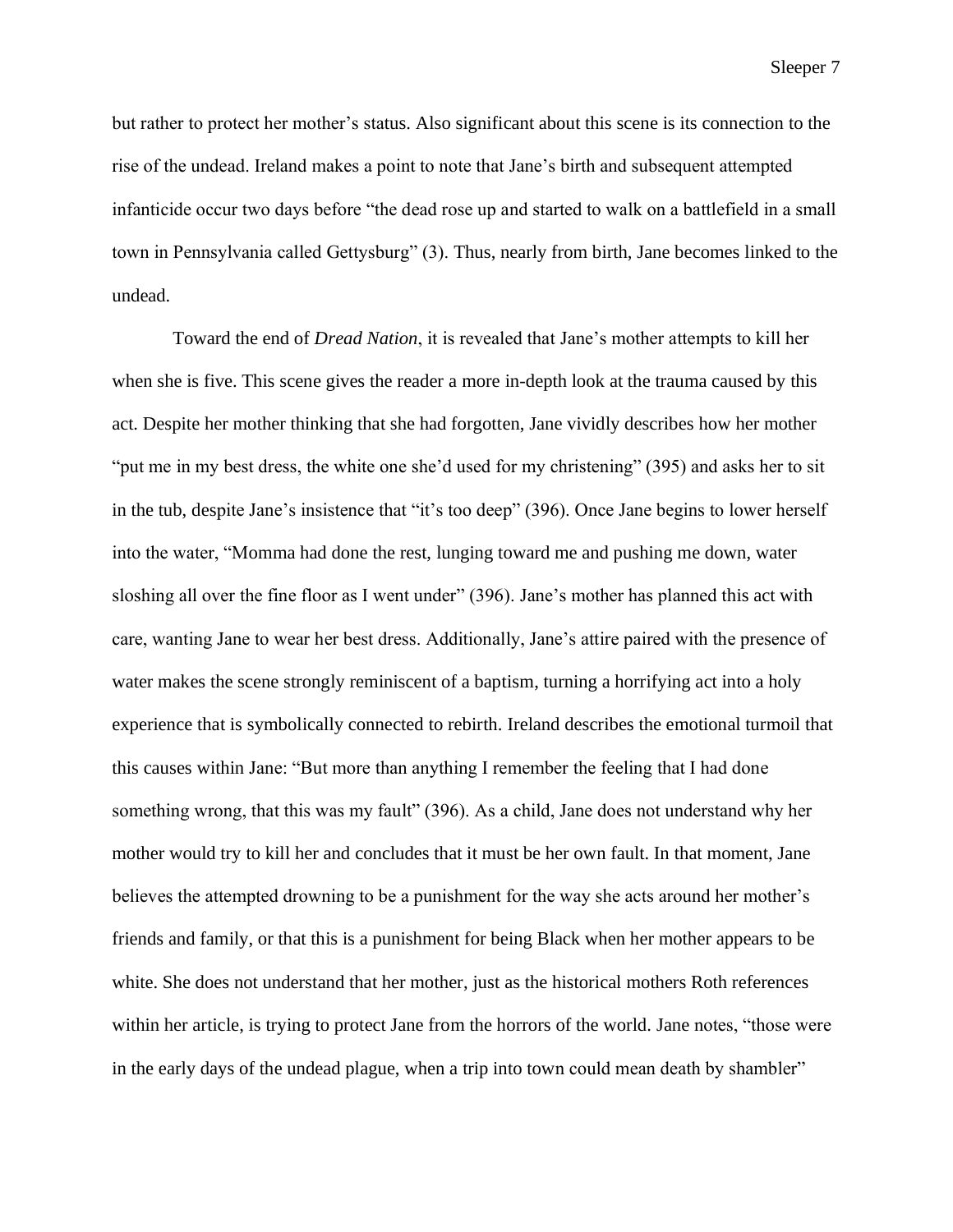but rather to protect her mother's status. Also significant about this scene is its connection to the rise of the undead. Ireland makes a point to note that Jane's birth and subsequent attempted infanticide occur two days before "the dead rose up and started to walk on a battlefield in a small town in Pennsylvania called Gettysburg" (3). Thus, nearly from birth, Jane becomes linked to the undead.

Toward the end of *Dread Nation*, it is revealed that Jane's mother attempts to kill her when she is five. This scene gives the reader a more in-depth look at the trauma caused by this act. Despite her mother thinking that she had forgotten, Jane vividly describes how her mother "put me in my best dress, the white one she'd used for my christening" (395) and asks her to sit in the tub, despite Jane's insistence that "it's too deep" (396). Once Jane begins to lower herself into the water, "Momma had done the rest, lunging toward me and pushing me down, water sloshing all over the fine floor as I went under" (396). Jane's mother has planned this act with care, wanting Jane to wear her best dress. Additionally, Jane's attire paired with the presence of water makes the scene strongly reminiscent of a baptism, turning a horrifying act into a holy experience that is symbolically connected to rebirth. Ireland describes the emotional turmoil that this causes within Jane: "But more than anything I remember the feeling that I had done something wrong, that this was my fault" (396). As a child, Jane does not understand why her mother would try to kill her and concludes that it must be her own fault. In that moment, Jane believes the attempted drowning to be a punishment for the way she acts around her mother's friends and family, or that this is a punishment for being Black when her mother appears to be white. She does not understand that her mother, just as the historical mothers Roth references within her article, is trying to protect Jane from the horrors of the world. Jane notes, "those were in the early days of the undead plague, when a trip into town could mean death by shambler"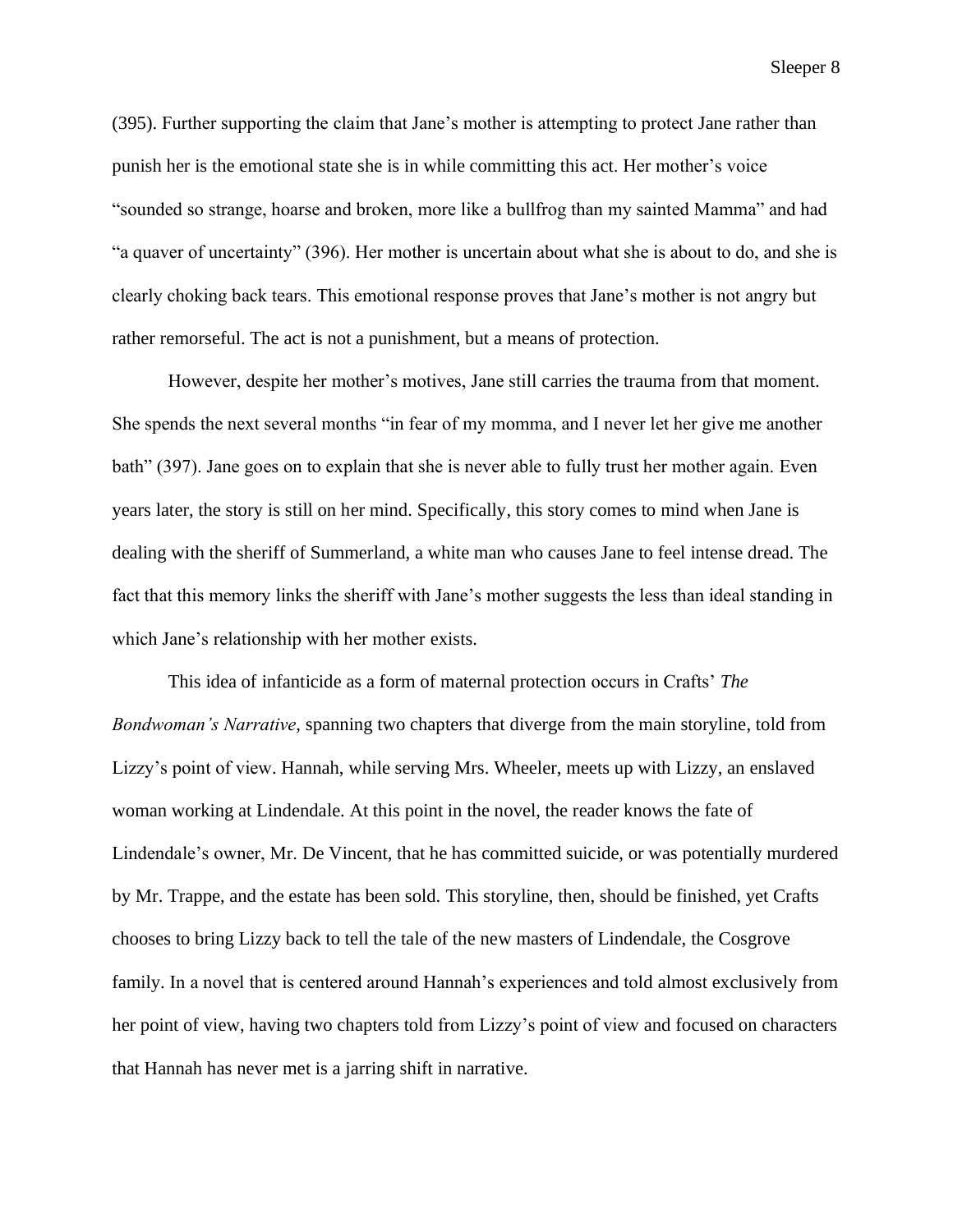(395). Further supporting the claim that Jane's mother is attempting to protect Jane rather than punish her is the emotional state she is in while committing this act. Her mother's voice "sounded so strange, hoarse and broken, more like a bullfrog than my sainted Mamma" and had "a quaver of uncertainty" (396). Her mother is uncertain about what she is about to do, and she is clearly choking back tears. This emotional response proves that Jane's mother is not angry but rather remorseful. The act is not a punishment, but a means of protection.

However, despite her mother's motives, Jane still carries the trauma from that moment. She spends the next several months "in fear of my momma, and I never let her give me another bath" (397). Jane goes on to explain that she is never able to fully trust her mother again. Even years later, the story is still on her mind. Specifically, this story comes to mind when Jane is dealing with the sheriff of Summerland, a white man who causes Jane to feel intense dread. The fact that this memory links the sheriff with Jane's mother suggests the less than ideal standing in which Jane's relationship with her mother exists.

This idea of infanticide as a form of maternal protection occurs in Crafts' *The Bondwoman's Narrative*, spanning two chapters that diverge from the main storyline, told from Lizzy's point of view. Hannah, while serving Mrs. Wheeler, meets up with Lizzy, an enslaved woman working at Lindendale. At this point in the novel, the reader knows the fate of Lindendale's owner, Mr. De Vincent, that he has committed suicide, or was potentially murdered by Mr. Trappe, and the estate has been sold. This storyline, then, should be finished, yet Crafts chooses to bring Lizzy back to tell the tale of the new masters of Lindendale, the Cosgrove family. In a novel that is centered around Hannah's experiences and told almost exclusively from her point of view, having two chapters told from Lizzy's point of view and focused on characters that Hannah has never met is a jarring shift in narrative.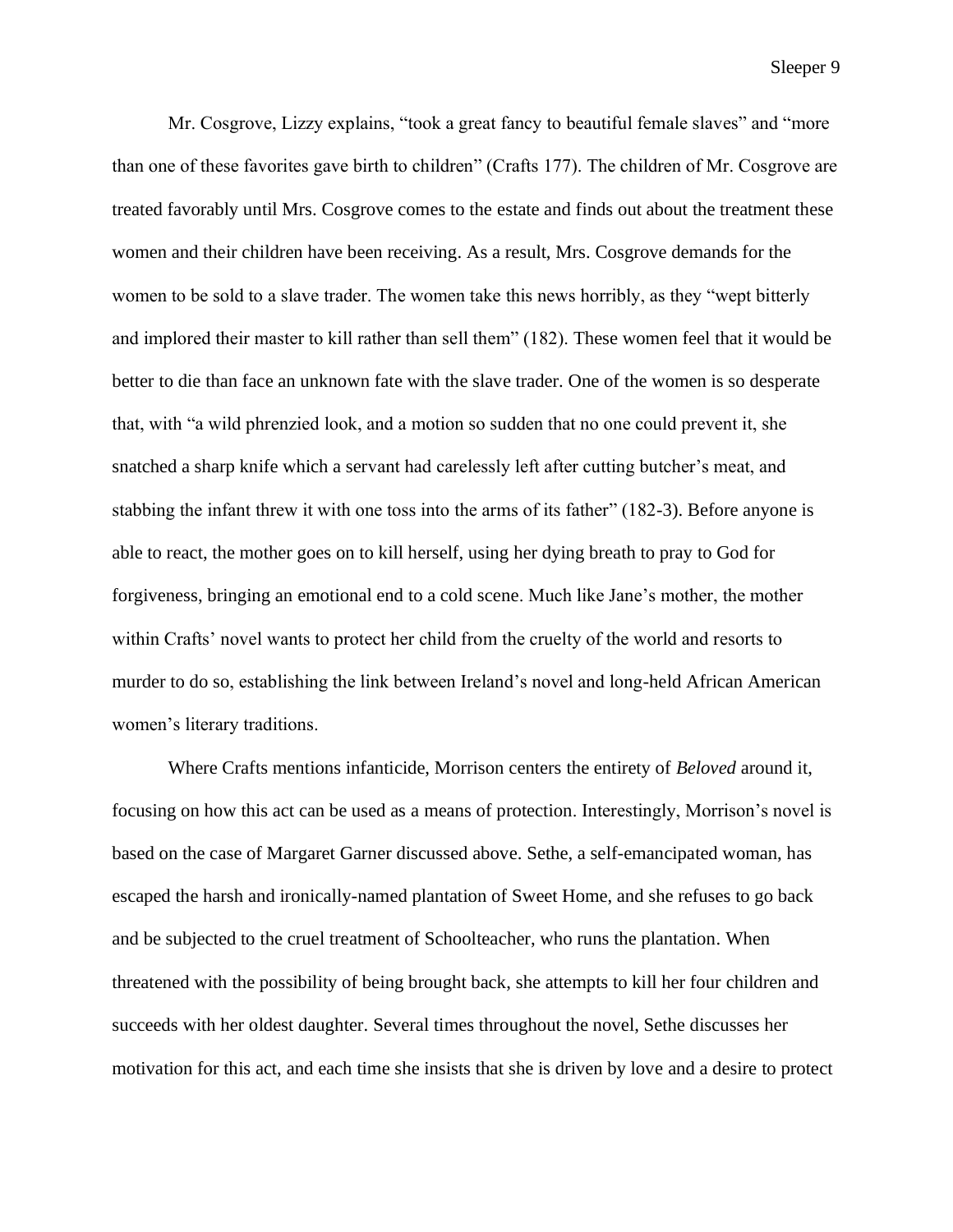Mr. Cosgrove, Lizzy explains, "took a great fancy to beautiful female slaves" and "more than one of these favorites gave birth to children" (Crafts 177). The children of Mr. Cosgrove are treated favorably until Mrs. Cosgrove comes to the estate and finds out about the treatment these women and their children have been receiving. As a result, Mrs. Cosgrove demands for the women to be sold to a slave trader. The women take this news horribly, as they "wept bitterly and implored their master to kill rather than sell them" (182). These women feel that it would be better to die than face an unknown fate with the slave trader. One of the women is so desperate that, with "a wild phrenzied look, and a motion so sudden that no one could prevent it, she snatched a sharp knife which a servant had carelessly left after cutting butcher's meat, and stabbing the infant threw it with one toss into the arms of its father" (182-3). Before anyone is able to react, the mother goes on to kill herself, using her dying breath to pray to God for forgiveness, bringing an emotional end to a cold scene. Much like Jane's mother, the mother within Crafts' novel wants to protect her child from the cruelty of the world and resorts to murder to do so, establishing the link between Ireland's novel and long-held African American women's literary traditions.

Where Crafts mentions infanticide, Morrison centers the entirety of *Beloved* around it, focusing on how this act can be used as a means of protection. Interestingly, Morrison's novel is based on the case of Margaret Garner discussed above. Sethe, a self-emancipated woman, has escaped the harsh and ironically-named plantation of Sweet Home, and she refuses to go back and be subjected to the cruel treatment of Schoolteacher, who runs the plantation. When threatened with the possibility of being brought back, she attempts to kill her four children and succeeds with her oldest daughter. Several times throughout the novel, Sethe discusses her motivation for this act, and each time she insists that she is driven by love and a desire to protect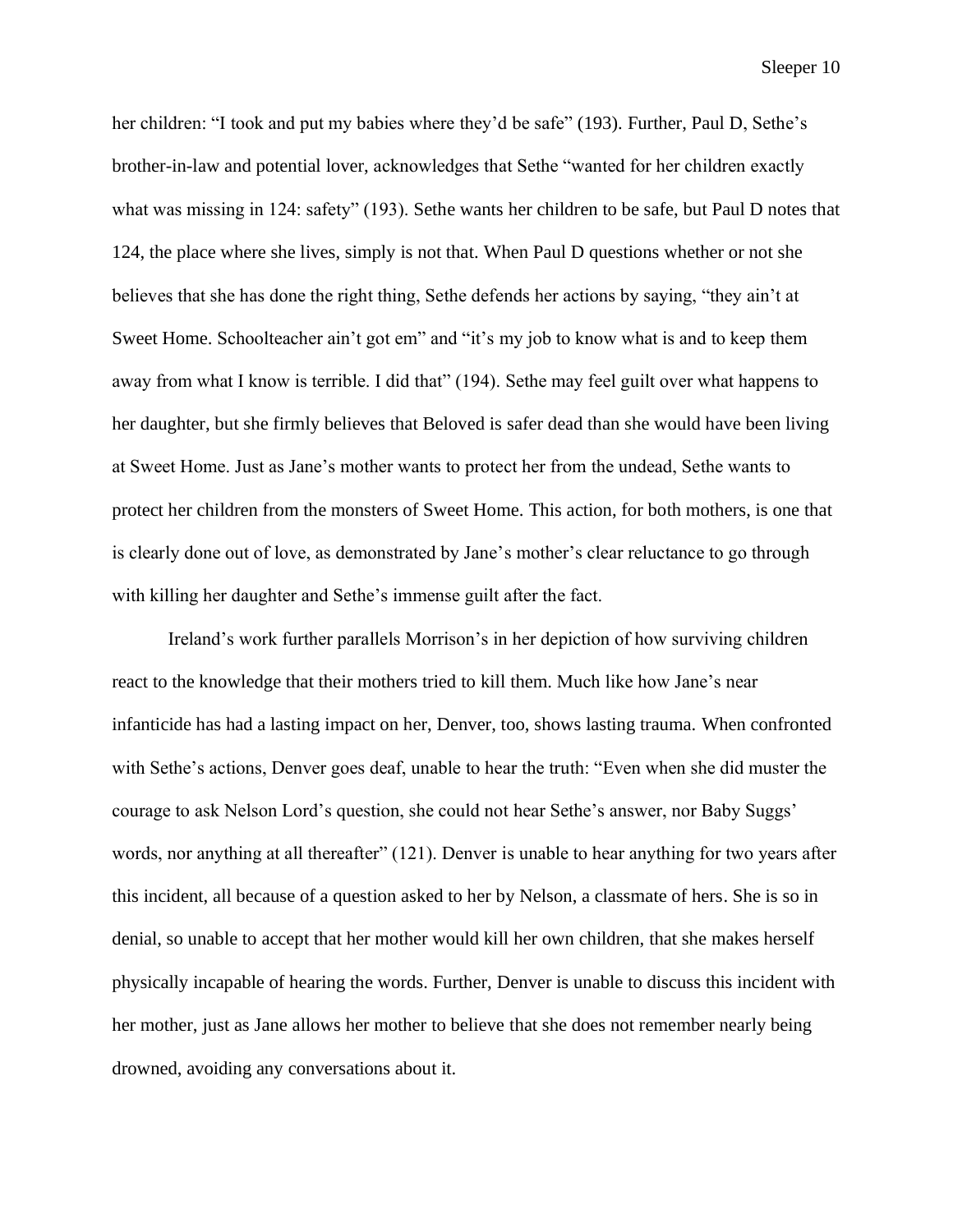her children: "I took and put my babies where they'd be safe" (193). Further, Paul D, Sethe's brother-in-law and potential lover, acknowledges that Sethe "wanted for her children exactly what was missing in 124: safety" (193). Sethe wants her children to be safe, but Paul D notes that 124, the place where she lives, simply is not that. When Paul D questions whether or not she believes that she has done the right thing, Sethe defends her actions by saying, "they ain't at Sweet Home. Schoolteacher ain't got em" and "it's my job to know what is and to keep them away from what I know is terrible. I did that" (194). Sethe may feel guilt over what happens to her daughter, but she firmly believes that Beloved is safer dead than she would have been living at Sweet Home. Just as Jane's mother wants to protect her from the undead, Sethe wants to protect her children from the monsters of Sweet Home. This action, for both mothers, is one that is clearly done out of love, as demonstrated by Jane's mother's clear reluctance to go through with killing her daughter and Sethe's immense guilt after the fact.

Ireland's work further parallels Morrison's in her depiction of how surviving children react to the knowledge that their mothers tried to kill them. Much like how Jane's near infanticide has had a lasting impact on her, Denver, too, shows lasting trauma. When confronted with Sethe's actions, Denver goes deaf, unable to hear the truth: "Even when she did muster the courage to ask Nelson Lord's question, she could not hear Sethe's answer, nor Baby Suggs' words, nor anything at all thereafter" (121). Denver is unable to hear anything for two years after this incident, all because of a question asked to her by Nelson, a classmate of hers. She is so in denial, so unable to accept that her mother would kill her own children, that she makes herself physically incapable of hearing the words. Further, Denver is unable to discuss this incident with her mother, just as Jane allows her mother to believe that she does not remember nearly being drowned, avoiding any conversations about it.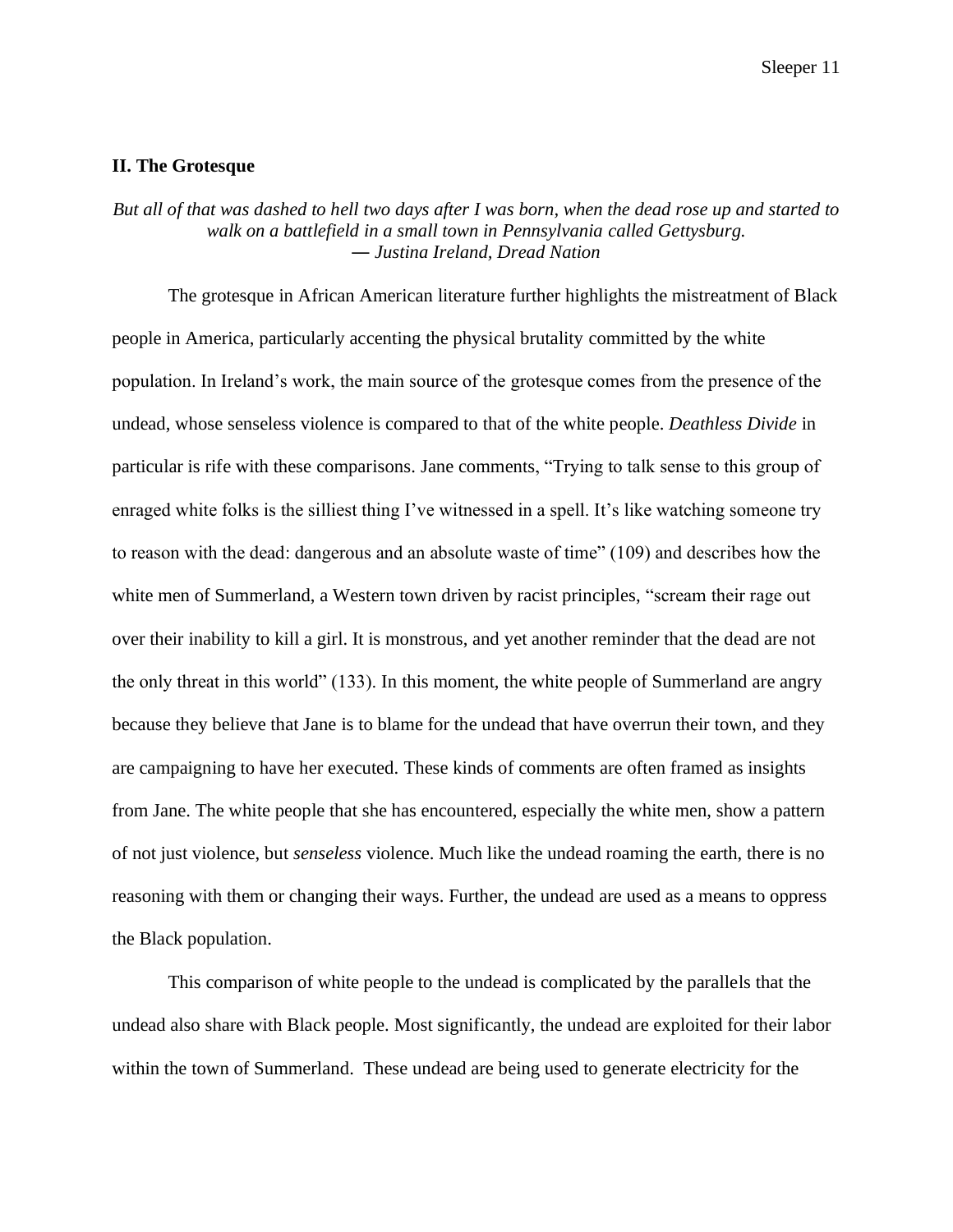## **II. The Grotesque**

## *But all of that was dashed to hell two days after I was born, when the dead rose up and started to walk on a battlefield in a small town in Pennsylvania called Gettysburg. ― Justina Ireland, Dread Nation*

The grotesque in African American literature further highlights the mistreatment of Black people in America, particularly accenting the physical brutality committed by the white population. In Ireland's work, the main source of the grotesque comes from the presence of the undead, whose senseless violence is compared to that of the white people. *Deathless Divide* in particular is rife with these comparisons. Jane comments, "Trying to talk sense to this group of enraged white folks is the silliest thing I've witnessed in a spell. It's like watching someone try to reason with the dead: dangerous and an absolute waste of time" (109) and describes how the white men of Summerland, a Western town driven by racist principles, "scream their rage out over their inability to kill a girl. It is monstrous, and yet another reminder that the dead are not the only threat in this world" (133). In this moment, the white people of Summerland are angry because they believe that Jane is to blame for the undead that have overrun their town, and they are campaigning to have her executed. These kinds of comments are often framed as insights from Jane. The white people that she has encountered, especially the white men, show a pattern of not just violence, but *senseless* violence. Much like the undead roaming the earth, there is no reasoning with them or changing their ways. Further, the undead are used as a means to oppress the Black population.

This comparison of white people to the undead is complicated by the parallels that the undead also share with Black people. Most significantly, the undead are exploited for their labor within the town of Summerland. These undead are being used to generate electricity for the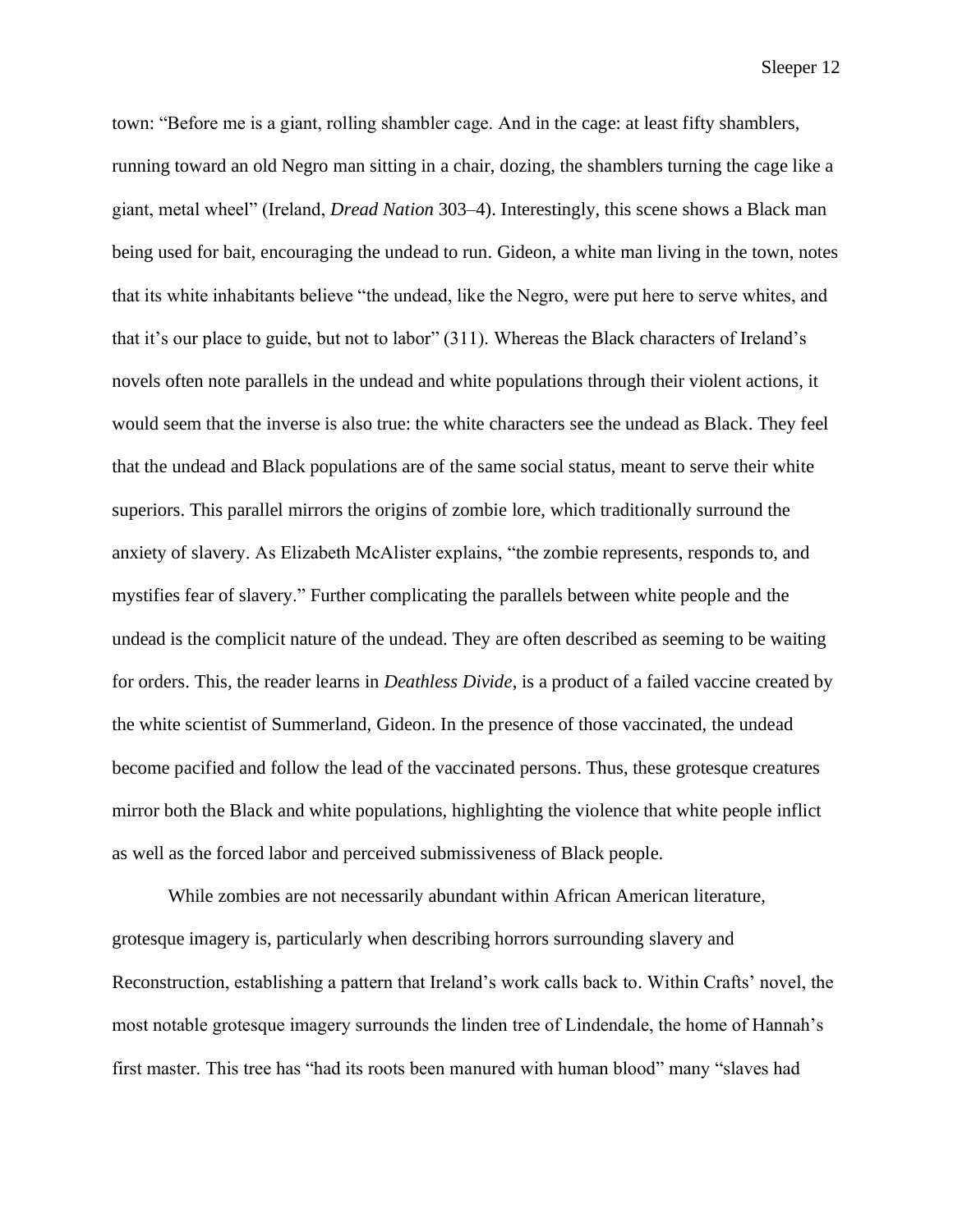town: "Before me is a giant, rolling shambler cage. And in the cage: at least fifty shamblers, running toward an old Negro man sitting in a chair, dozing, the shamblers turning the cage like a giant, metal wheel" (Ireland, *Dread Nation* 303–4). Interestingly, this scene shows a Black man being used for bait, encouraging the undead to run. Gideon, a white man living in the town, notes that its white inhabitants believe "the undead, like the Negro, were put here to serve whites, and that it's our place to guide, but not to labor" (311). Whereas the Black characters of Ireland's novels often note parallels in the undead and white populations through their violent actions, it would seem that the inverse is also true: the white characters see the undead as Black. They feel that the undead and Black populations are of the same social status, meant to serve their white superiors. This parallel mirrors the origins of zombie lore, which traditionally surround the anxiety of slavery. As Elizabeth McAlister explains, "the zombie represents, responds to, and mystifies fear of slavery." Further complicating the parallels between white people and the undead is the complicit nature of the undead. They are often described as seeming to be waiting for orders. This, the reader learns in *Deathless Divide*, is a product of a failed vaccine created by the white scientist of Summerland, Gideon. In the presence of those vaccinated, the undead become pacified and follow the lead of the vaccinated persons. Thus, these grotesque creatures mirror both the Black and white populations, highlighting the violence that white people inflict as well as the forced labor and perceived submissiveness of Black people.

While zombies are not necessarily abundant within African American literature, grotesque imagery is, particularly when describing horrors surrounding slavery and Reconstruction, establishing a pattern that Ireland's work calls back to. Within Crafts' novel, the most notable grotesque imagery surrounds the linden tree of Lindendale, the home of Hannah's first master. This tree has "had its roots been manured with human blood" many "slaves had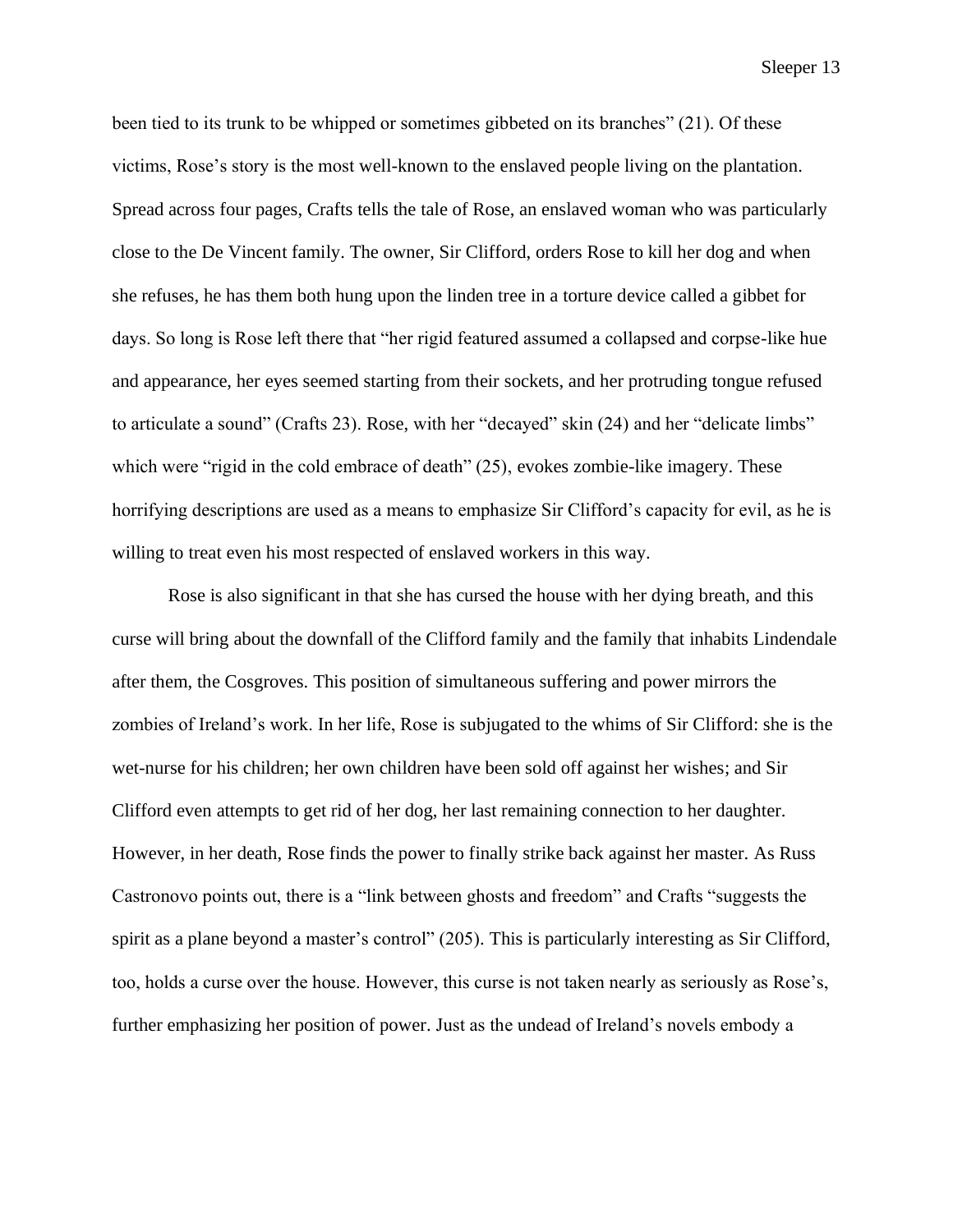been tied to its trunk to be whipped or sometimes gibbeted on its branches" (21). Of these victims, Rose's story is the most well-known to the enslaved people living on the plantation. Spread across four pages, Crafts tells the tale of Rose, an enslaved woman who was particularly close to the De Vincent family. The owner, Sir Clifford, orders Rose to kill her dog and when she refuses, he has them both hung upon the linden tree in a torture device called a gibbet for days. So long is Rose left there that "her rigid featured assumed a collapsed and corpse-like hue and appearance, her eyes seemed starting from their sockets, and her protruding tongue refused to articulate a sound" (Crafts 23). Rose, with her "decayed" skin (24) and her "delicate limbs" which were "rigid in the cold embrace of death" (25), evokes zombie-like imagery. These horrifying descriptions are used as a means to emphasize Sir Clifford's capacity for evil, as he is willing to treat even his most respected of enslaved workers in this way.

Rose is also significant in that she has cursed the house with her dying breath, and this curse will bring about the downfall of the Clifford family and the family that inhabits Lindendale after them, the Cosgroves. This position of simultaneous suffering and power mirrors the zombies of Ireland's work. In her life, Rose is subjugated to the whims of Sir Clifford: she is the wet-nurse for his children; her own children have been sold off against her wishes; and Sir Clifford even attempts to get rid of her dog, her last remaining connection to her daughter. However, in her death, Rose finds the power to finally strike back against her master. As Russ Castronovo points out, there is a "link between ghosts and freedom" and Crafts "suggests the spirit as a plane beyond a master's control" (205). This is particularly interesting as Sir Clifford, too, holds a curse over the house. However, this curse is not taken nearly as seriously as Rose's, further emphasizing her position of power. Just as the undead of Ireland's novels embody a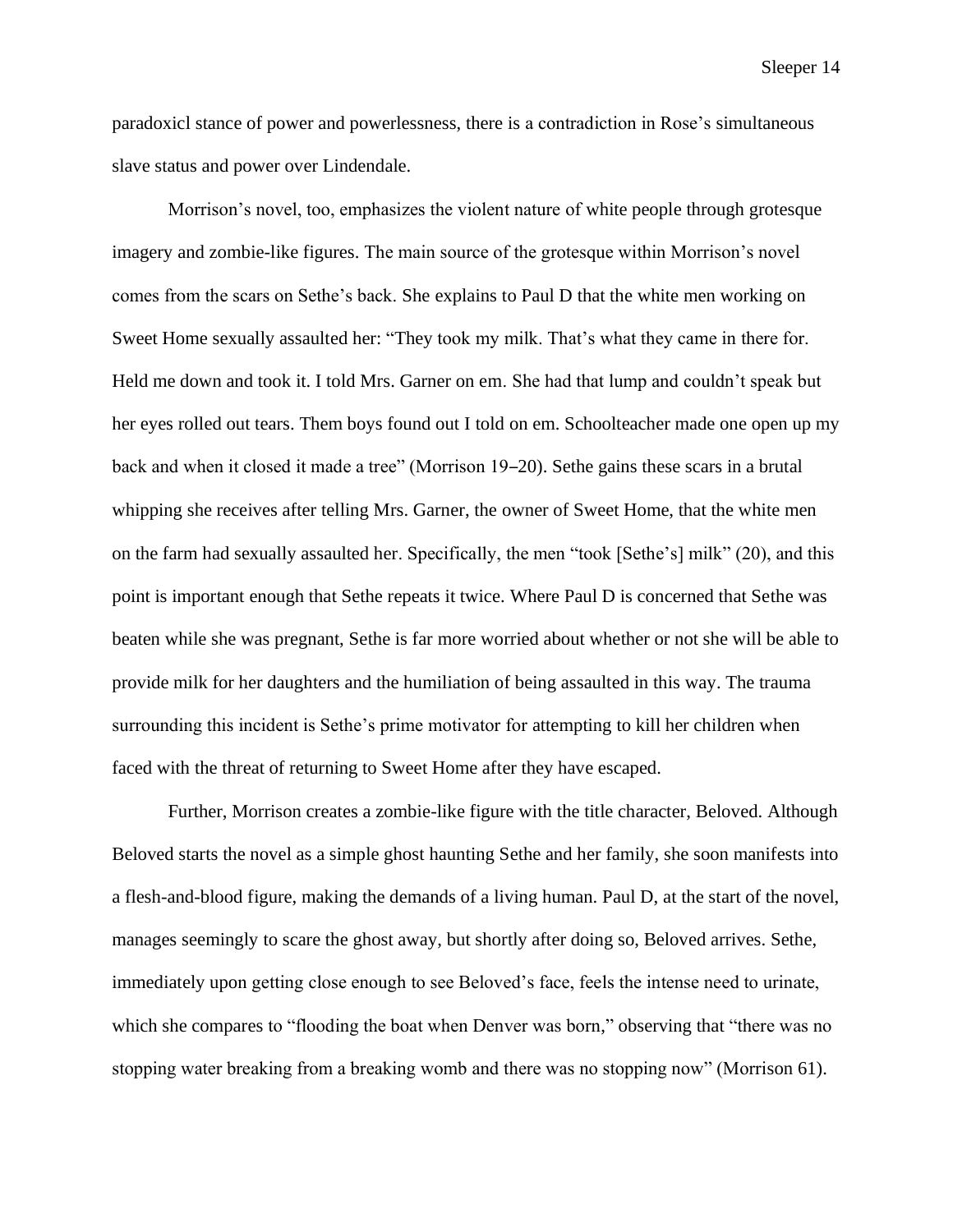paradoxicl stance of power and powerlessness, there is a contradiction in Rose's simultaneous slave status and power over Lindendale.

Morrison's novel, too, emphasizes the violent nature of white people through grotesque imagery and zombie-like figures. The main source of the grotesque within Morrison's novel comes from the scars on Sethe's back. She explains to Paul D that the white men working on Sweet Home sexually assaulted her: "They took my milk. That's what they came in there for. Held me down and took it. I told Mrs. Garner on em. She had that lump and couldn't speak but her eyes rolled out tears. Them boys found out I told on em. Schoolteacher made one open up my back and when it closed it made a tree" (Morrison 19–20). Sethe gains these scars in a brutal whipping she receives after telling Mrs. Garner, the owner of Sweet Home, that the white men on the farm had sexually assaulted her. Specifically, the men "took [Sethe's] milk" (20), and this point is important enough that Sethe repeats it twice. Where Paul D is concerned that Sethe was beaten while she was pregnant, Sethe is far more worried about whether or not she will be able to provide milk for her daughters and the humiliation of being assaulted in this way. The trauma surrounding this incident is Sethe's prime motivator for attempting to kill her children when faced with the threat of returning to Sweet Home after they have escaped.

Further, Morrison creates a zombie-like figure with the title character, Beloved. Although Beloved starts the novel as a simple ghost haunting Sethe and her family, she soon manifests into a flesh-and-blood figure, making the demands of a living human. Paul D, at the start of the novel, manages seemingly to scare the ghost away, but shortly after doing so, Beloved arrives. Sethe, immediately upon getting close enough to see Beloved's face, feels the intense need to urinate, which she compares to "flooding the boat when Denver was born," observing that "there was no stopping water breaking from a breaking womb and there was no stopping now" (Morrison 61).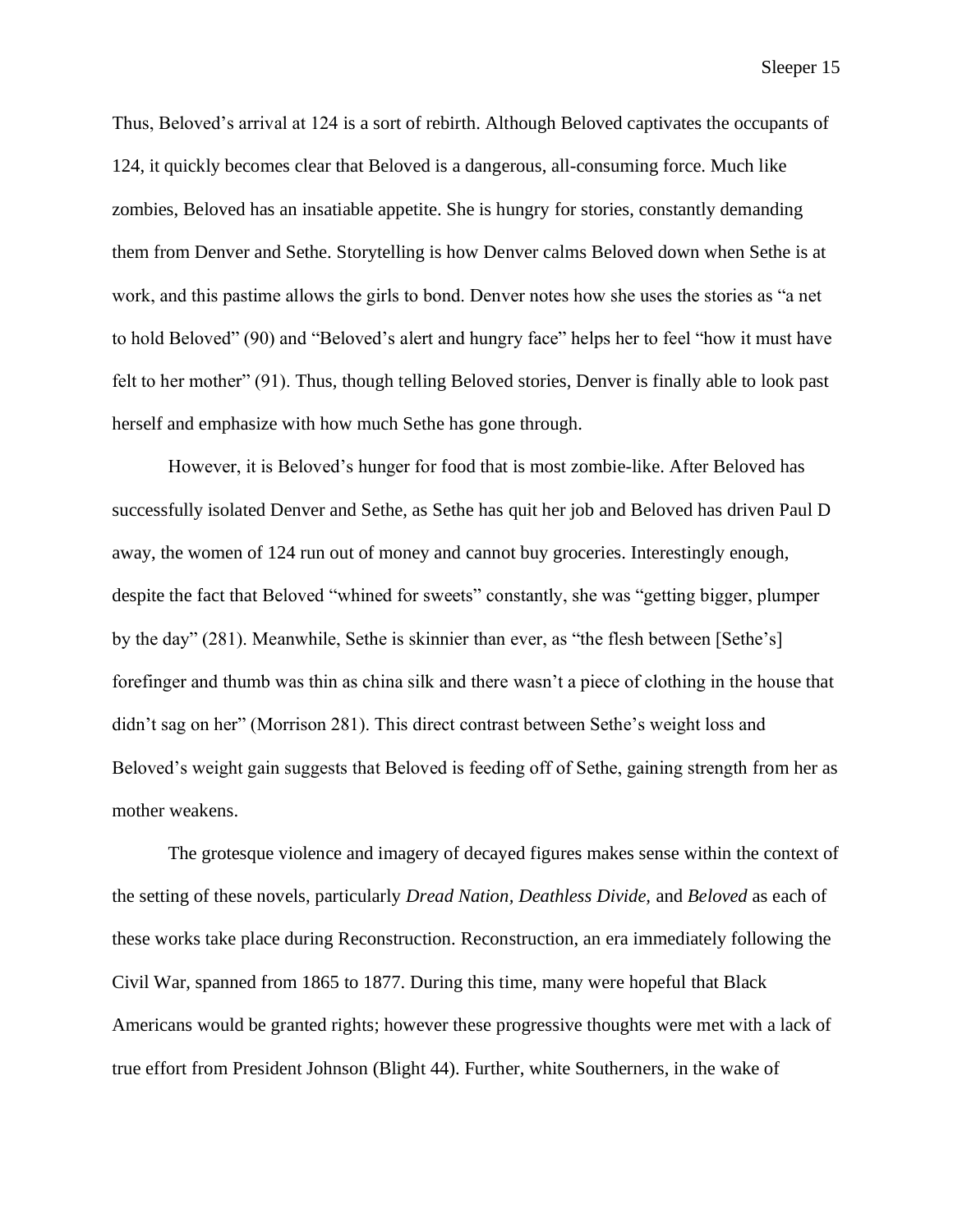Thus, Beloved's arrival at 124 is a sort of rebirth. Although Beloved captivates the occupants of 124, it quickly becomes clear that Beloved is a dangerous, all-consuming force. Much like zombies, Beloved has an insatiable appetite. She is hungry for stories, constantly demanding them from Denver and Sethe. Storytelling is how Denver calms Beloved down when Sethe is at work, and this pastime allows the girls to bond. Denver notes how she uses the stories as "a net to hold Beloved" (90) and "Beloved's alert and hungry face" helps her to feel "how it must have felt to her mother" (91). Thus, though telling Beloved stories, Denver is finally able to look past herself and emphasize with how much Sethe has gone through.

However, it is Beloved's hunger for food that is most zombie-like. After Beloved has successfully isolated Denver and Sethe, as Sethe has quit her job and Beloved has driven Paul D away, the women of 124 run out of money and cannot buy groceries. Interestingly enough, despite the fact that Beloved "whined for sweets" constantly, she was "getting bigger, plumper by the day" (281). Meanwhile, Sethe is skinnier than ever, as "the flesh between [Sethe's] forefinger and thumb was thin as china silk and there wasn't a piece of clothing in the house that didn't sag on her" (Morrison 281). This direct contrast between Sethe's weight loss and Beloved's weight gain suggests that Beloved is feeding off of Sethe, gaining strength from her as mother weakens.

The grotesque violence and imagery of decayed figures makes sense within the context of the setting of these novels, particularly *Dread Nation, Deathless Divide,* and *Beloved* as each of these works take place during Reconstruction. Reconstruction, an era immediately following the Civil War, spanned from 1865 to 1877. During this time, many were hopeful that Black Americans would be granted rights; however these progressive thoughts were met with a lack of true effort from President Johnson (Blight 44). Further, white Southerners, in the wake of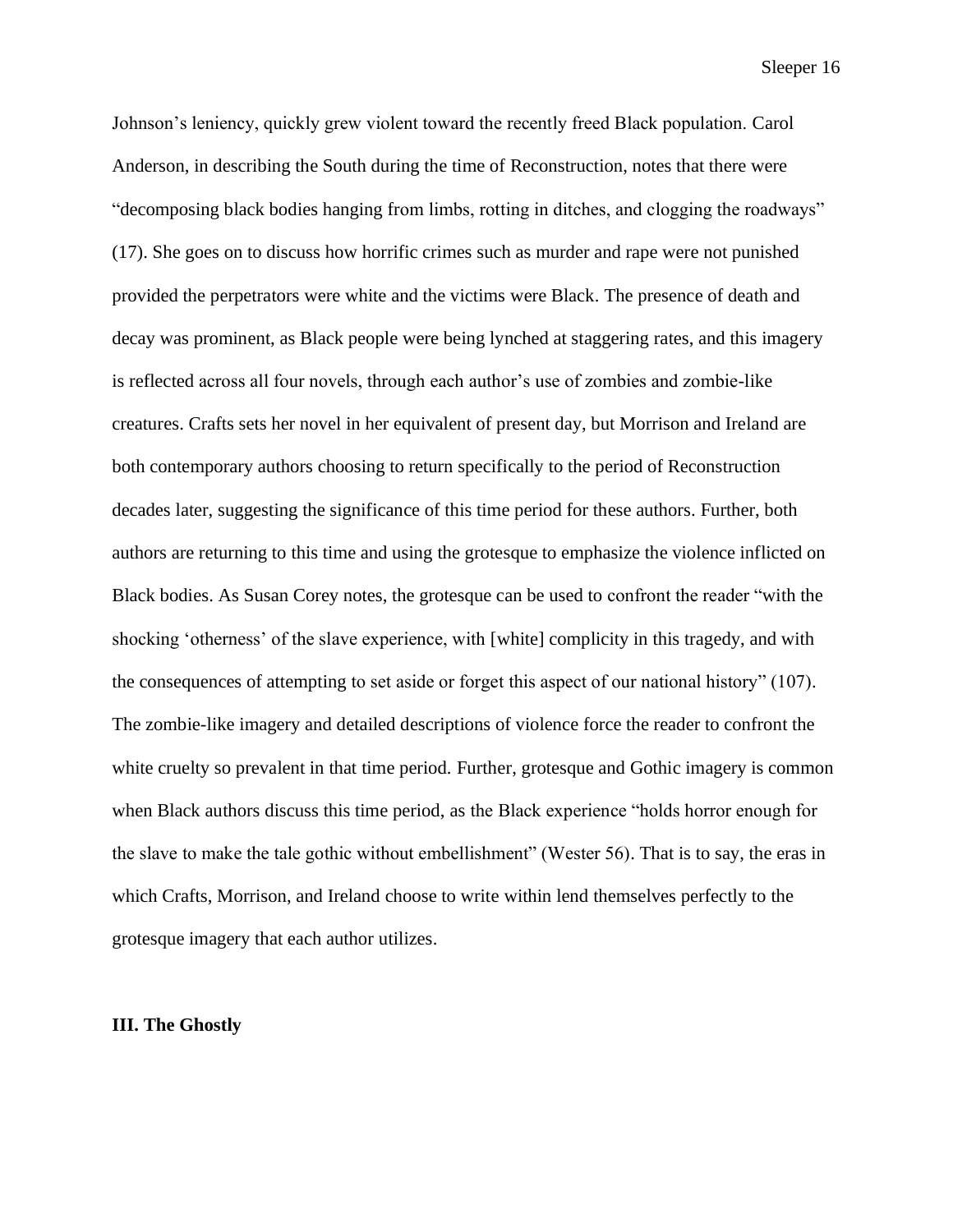Johnson's leniency, quickly grew violent toward the recently freed Black population. Carol Anderson, in describing the South during the time of Reconstruction, notes that there were "decomposing black bodies hanging from limbs, rotting in ditches, and clogging the roadways" (17). She goes on to discuss how horrific crimes such as murder and rape were not punished provided the perpetrators were white and the victims were Black. The presence of death and decay was prominent, as Black people were being lynched at staggering rates, and this imagery is reflected across all four novels, through each author's use of zombies and zombie-like creatures. Crafts sets her novel in her equivalent of present day, but Morrison and Ireland are both contemporary authors choosing to return specifically to the period of Reconstruction decades later, suggesting the significance of this time period for these authors. Further, both authors are returning to this time and using the grotesque to emphasize the violence inflicted on Black bodies. As Susan Corey notes, the grotesque can be used to confront the reader "with the shocking 'otherness' of the slave experience, with [white] complicity in this tragedy, and with the consequences of attempting to set aside or forget this aspect of our national history" (107). The zombie-like imagery and detailed descriptions of violence force the reader to confront the white cruelty so prevalent in that time period. Further, grotesque and Gothic imagery is common when Black authors discuss this time period, as the Black experience "holds horror enough for the slave to make the tale gothic without embellishment" (Wester 56). That is to say, the eras in which Crafts, Morrison, and Ireland choose to write within lend themselves perfectly to the grotesque imagery that each author utilizes.

#### **III. The Ghostly**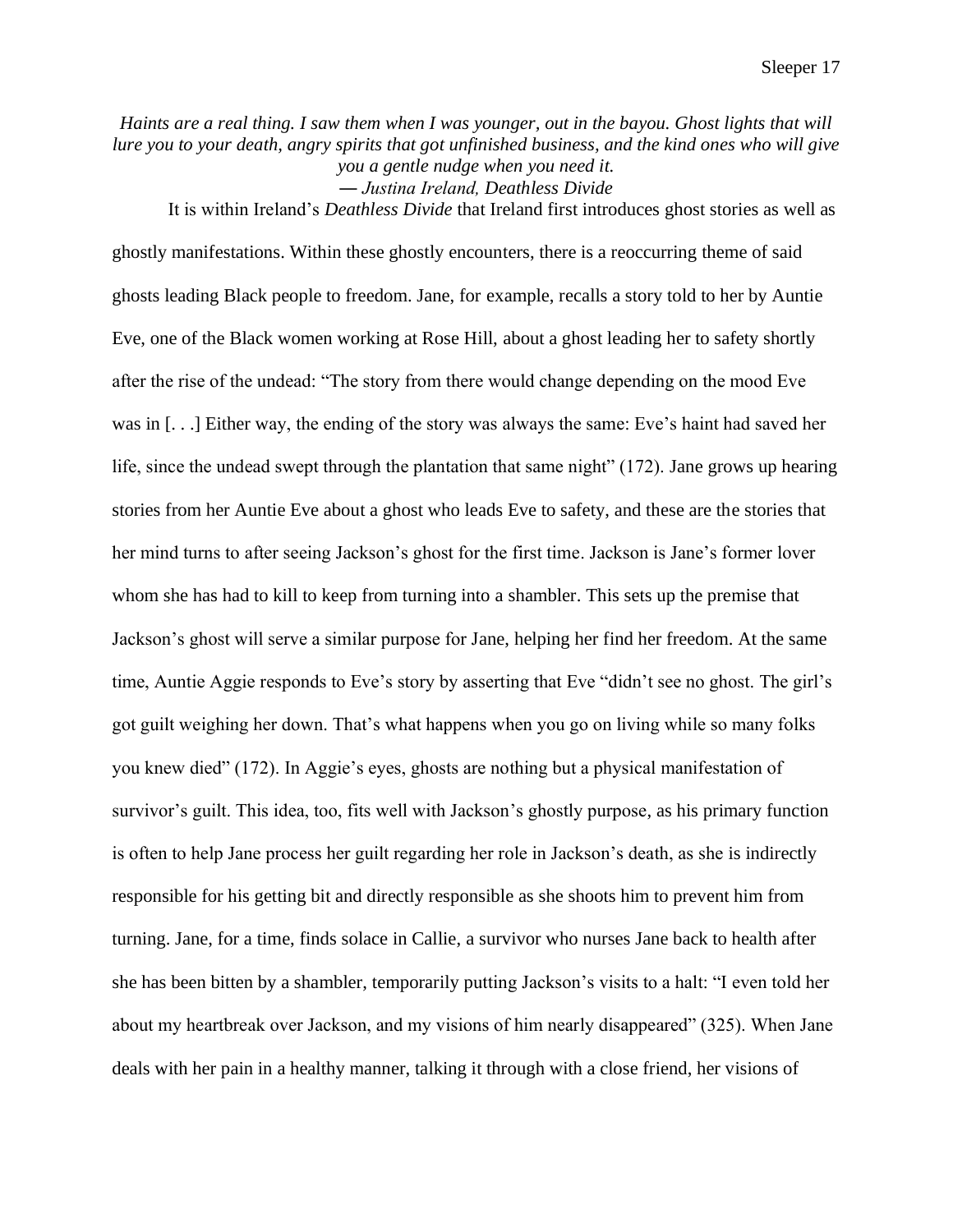*Haints are a real thing. I saw them when I was younger, out in the bayou. Ghost lights that will lure you to your death, angry spirits that got unfinished business, and the kind ones who will give you a gentle nudge when you need it. ― Justina Ireland, Deathless Divide*

It is within Ireland's *Deathless Divide* that Ireland first introduces ghost stories as well as ghostly manifestations. Within these ghostly encounters, there is a reoccurring theme of said ghosts leading Black people to freedom. Jane, for example, recalls a story told to her by Auntie Eve, one of the Black women working at Rose Hill, about a ghost leading her to safety shortly after the rise of the undead: "The story from there would change depending on the mood Eve was in [. . .] Either way, the ending of the story was always the same: Eve's haint had saved her life, since the undead swept through the plantation that same night" (172). Jane grows up hearing stories from her Auntie Eve about a ghost who leads Eve to safety, and these are the stories that her mind turns to after seeing Jackson's ghost for the first time. Jackson is Jane's former lover whom she has had to kill to keep from turning into a shambler. This sets up the premise that Jackson's ghost will serve a similar purpose for Jane, helping her find her freedom. At the same time, Auntie Aggie responds to Eve's story by asserting that Eve "didn't see no ghost. The girl's got guilt weighing her down. That's what happens when you go on living while so many folks you knew died" (172). In Aggie's eyes, ghosts are nothing but a physical manifestation of survivor's guilt. This idea, too, fits well with Jackson's ghostly purpose, as his primary function is often to help Jane process her guilt regarding her role in Jackson's death, as she is indirectly responsible for his getting bit and directly responsible as she shoots him to prevent him from turning. Jane, for a time, finds solace in Callie, a survivor who nurses Jane back to health after she has been bitten by a shambler, temporarily putting Jackson's visits to a halt: "I even told her about my heartbreak over Jackson, and my visions of him nearly disappeared" (325). When Jane deals with her pain in a healthy manner, talking it through with a close friend, her visions of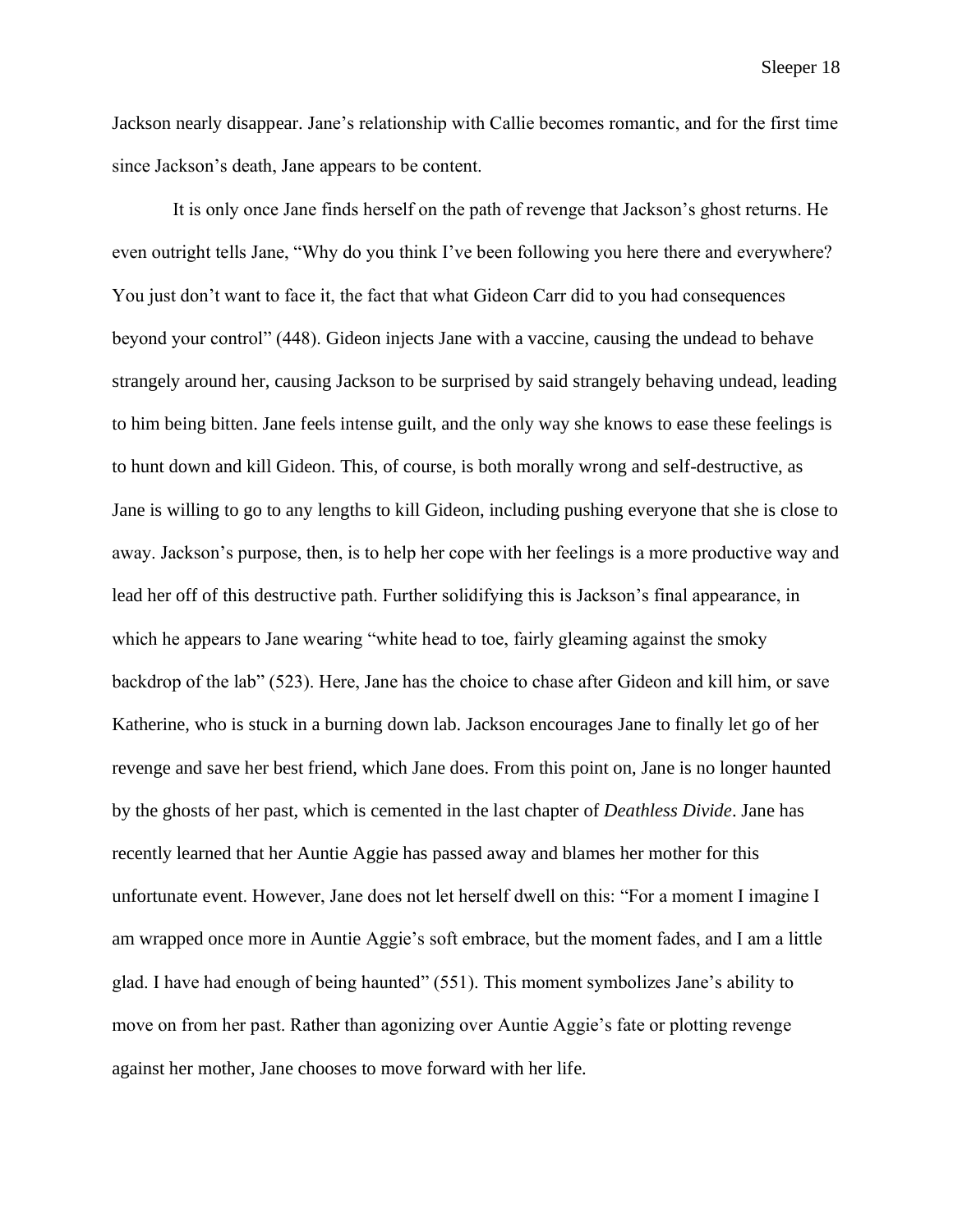Jackson nearly disappear. Jane's relationship with Callie becomes romantic, and for the first time since Jackson's death, Jane appears to be content.

It is only once Jane finds herself on the path of revenge that Jackson's ghost returns. He even outright tells Jane, "Why do you think I've been following you here there and everywhere? You just don't want to face it, the fact that what Gideon Carr did to you had consequences beyond your control" (448). Gideon injects Jane with a vaccine, causing the undead to behave strangely around her, causing Jackson to be surprised by said strangely behaving undead, leading to him being bitten. Jane feels intense guilt, and the only way she knows to ease these feelings is to hunt down and kill Gideon. This, of course, is both morally wrong and self-destructive, as Jane is willing to go to any lengths to kill Gideon, including pushing everyone that she is close to away. Jackson's purpose, then, is to help her cope with her feelings is a more productive way and lead her off of this destructive path. Further solidifying this is Jackson's final appearance, in which he appears to Jane wearing "white head to toe, fairly gleaming against the smoky backdrop of the lab" (523). Here, Jane has the choice to chase after Gideon and kill him, or save Katherine, who is stuck in a burning down lab. Jackson encourages Jane to finally let go of her revenge and save her best friend, which Jane does. From this point on, Jane is no longer haunted by the ghosts of her past, which is cemented in the last chapter of *Deathless Divide*. Jane has recently learned that her Auntie Aggie has passed away and blames her mother for this unfortunate event. However, Jane does not let herself dwell on this: "For a moment I imagine I am wrapped once more in Auntie Aggie's soft embrace, but the moment fades, and I am a little glad. I have had enough of being haunted" (551). This moment symbolizes Jane's ability to move on from her past. Rather than agonizing over Auntie Aggie's fate or plotting revenge against her mother, Jane chooses to move forward with her life.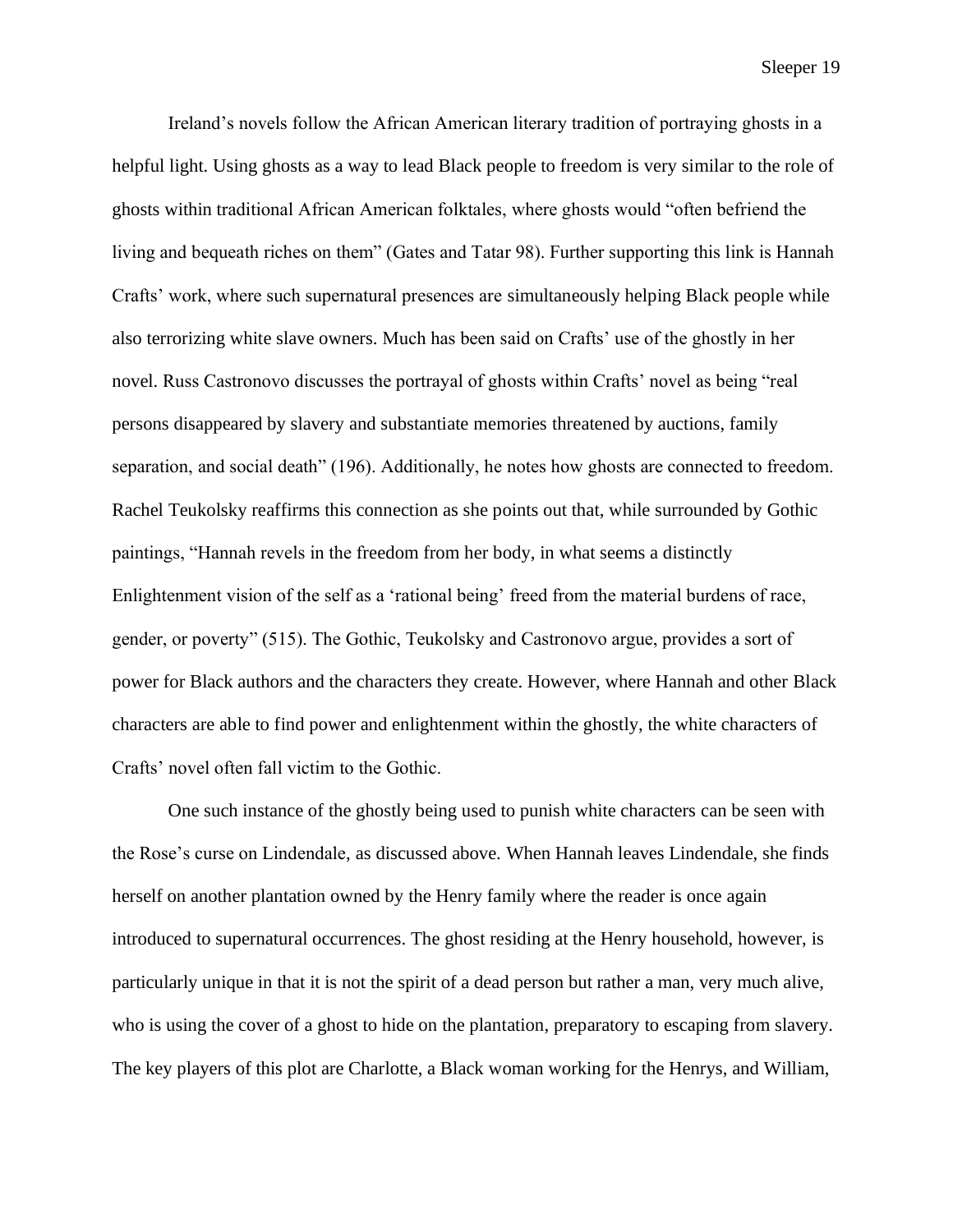Ireland's novels follow the African American literary tradition of portraying ghosts in a helpful light. Using ghosts as a way to lead Black people to freedom is very similar to the role of ghosts within traditional African American folktales, where ghosts would "often befriend the living and bequeath riches on them" (Gates and Tatar 98). Further supporting this link is Hannah Crafts' work, where such supernatural presences are simultaneously helping Black people while also terrorizing white slave owners. Much has been said on Crafts' use of the ghostly in her novel. Russ Castronovo discusses the portrayal of ghosts within Crafts' novel as being "real persons disappeared by slavery and substantiate memories threatened by auctions, family separation, and social death" (196). Additionally, he notes how ghosts are connected to freedom. Rachel Teukolsky reaffirms this connection as she points out that, while surrounded by Gothic paintings, "Hannah revels in the freedom from her body, in what seems a distinctly Enlightenment vision of the self as a 'rational being' freed from the material burdens of race, gender, or poverty" (515). The Gothic, Teukolsky and Castronovo argue, provides a sort of power for Black authors and the characters they create. However, where Hannah and other Black characters are able to find power and enlightenment within the ghostly, the white characters of Crafts' novel often fall victim to the Gothic.

One such instance of the ghostly being used to punish white characters can be seen with the Rose's curse on Lindendale, as discussed above. When Hannah leaves Lindendale, she finds herself on another plantation owned by the Henry family where the reader is once again introduced to supernatural occurrences. The ghost residing at the Henry household, however, is particularly unique in that it is not the spirit of a dead person but rather a man, very much alive, who is using the cover of a ghost to hide on the plantation, preparatory to escaping from slavery. The key players of this plot are Charlotte, a Black woman working for the Henrys, and William,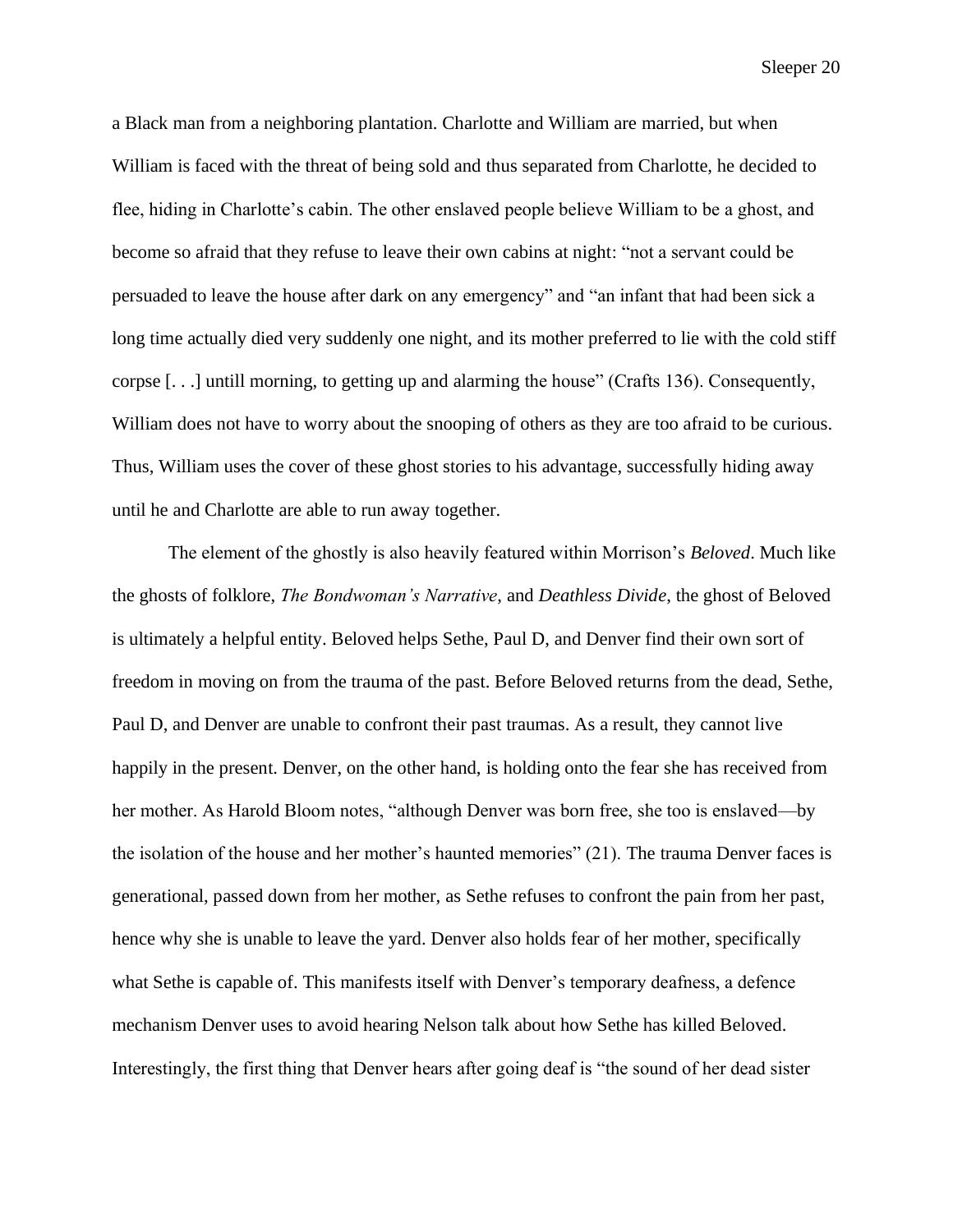a Black man from a neighboring plantation. Charlotte and William are married, but when William is faced with the threat of being sold and thus separated from Charlotte, he decided to flee, hiding in Charlotte's cabin. The other enslaved people believe William to be a ghost, and become so afraid that they refuse to leave their own cabins at night: "not a servant could be persuaded to leave the house after dark on any emergency" and "an infant that had been sick a long time actually died very suddenly one night, and its mother preferred to lie with the cold stiff corpse [. . .] untill morning, to getting up and alarming the house" (Crafts 136). Consequently, William does not have to worry about the snooping of others as they are too afraid to be curious. Thus, William uses the cover of these ghost stories to his advantage, successfully hiding away until he and Charlotte are able to run away together.

The element of the ghostly is also heavily featured within Morrison's *Beloved*. Much like the ghosts of folklore, *The Bondwoman's Narrative*, and *Deathless Divide*, the ghost of Beloved is ultimately a helpful entity. Beloved helps Sethe, Paul D, and Denver find their own sort of freedom in moving on from the trauma of the past. Before Beloved returns from the dead, Sethe, Paul D, and Denver are unable to confront their past traumas. As a result, they cannot live happily in the present. Denver, on the other hand, is holding onto the fear she has received from her mother. As Harold Bloom notes, "although Denver was born free, she too is enslaved—by the isolation of the house and her mother's haunted memories" (21). The trauma Denver faces is generational, passed down from her mother, as Sethe refuses to confront the pain from her past, hence why she is unable to leave the yard. Denver also holds fear of her mother, specifically what Sethe is capable of. This manifests itself with Denver's temporary deafness, a defence mechanism Denver uses to avoid hearing Nelson talk about how Sethe has killed Beloved. Interestingly, the first thing that Denver hears after going deaf is "the sound of her dead sister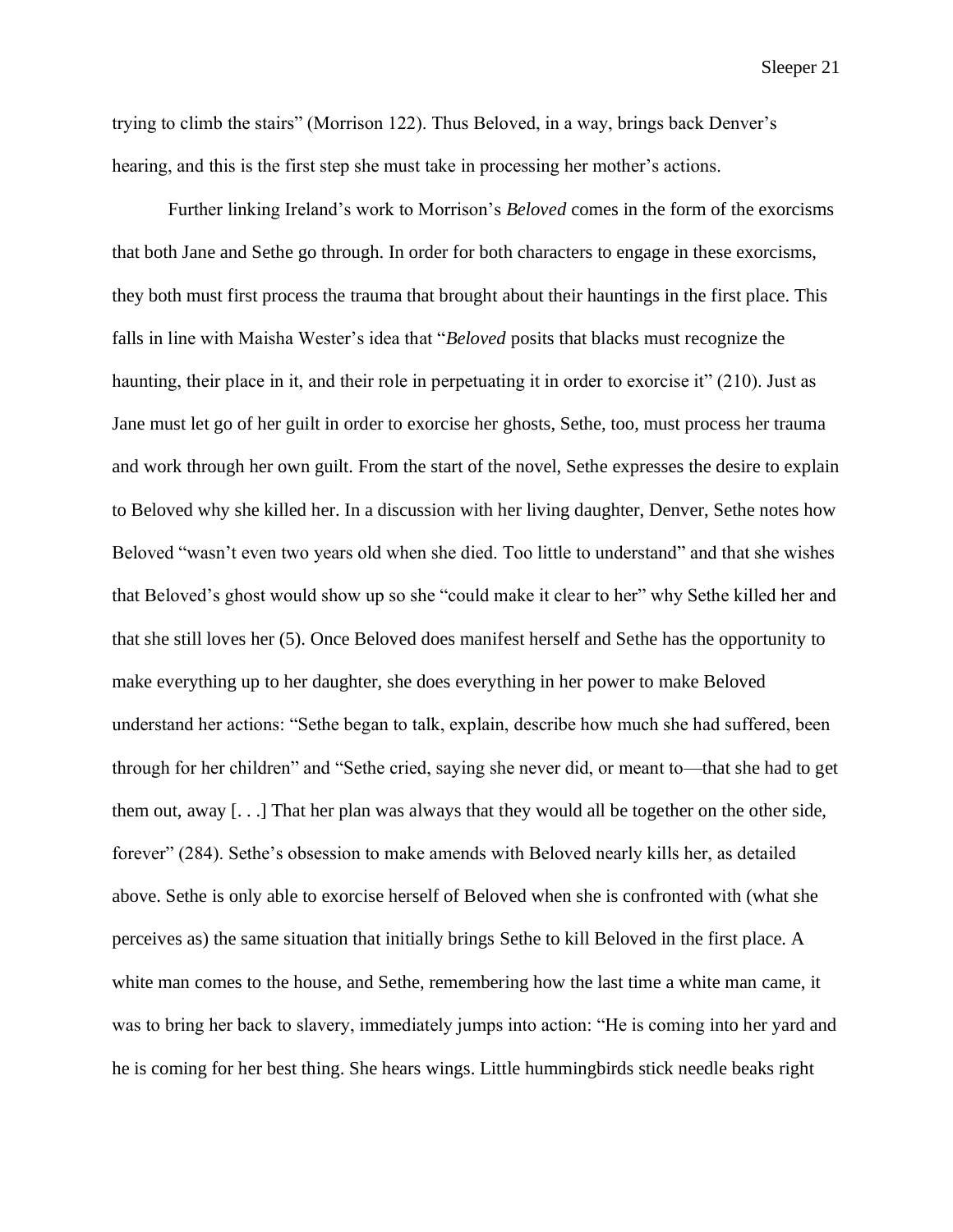trying to climb the stairs" (Morrison 122). Thus Beloved, in a way, brings back Denver's hearing, and this is the first step she must take in processing her mother's actions.

Further linking Ireland's work to Morrison's *Beloved* comes in the form of the exorcisms that both Jane and Sethe go through. In order for both characters to engage in these exorcisms, they both must first process the trauma that brought about their hauntings in the first place. This falls in line with Maisha Wester's idea that "*Beloved* posits that blacks must recognize the haunting, their place in it, and their role in perpetuating it in order to exorcise it" (210). Just as Jane must let go of her guilt in order to exorcise her ghosts, Sethe, too, must process her trauma and work through her own guilt. From the start of the novel, Sethe expresses the desire to explain to Beloved why she killed her. In a discussion with her living daughter, Denver, Sethe notes how Beloved "wasn't even two years old when she died. Too little to understand" and that she wishes that Beloved's ghost would show up so she "could make it clear to her" why Sethe killed her and that she still loves her (5). Once Beloved does manifest herself and Sethe has the opportunity to make everything up to her daughter, she does everything in her power to make Beloved understand her actions: "Sethe began to talk, explain, describe how much she had suffered, been through for her children" and "Sethe cried, saying she never did, or meant to—that she had to get them out, away [. . .] That her plan was always that they would all be together on the other side, forever" (284). Sethe's obsession to make amends with Beloved nearly kills her, as detailed above. Sethe is only able to exorcise herself of Beloved when she is confronted with (what she perceives as) the same situation that initially brings Sethe to kill Beloved in the first place. A white man comes to the house, and Sethe, remembering how the last time a white man came, it was to bring her back to slavery, immediately jumps into action: "He is coming into her yard and he is coming for her best thing. She hears wings. Little hummingbirds stick needle beaks right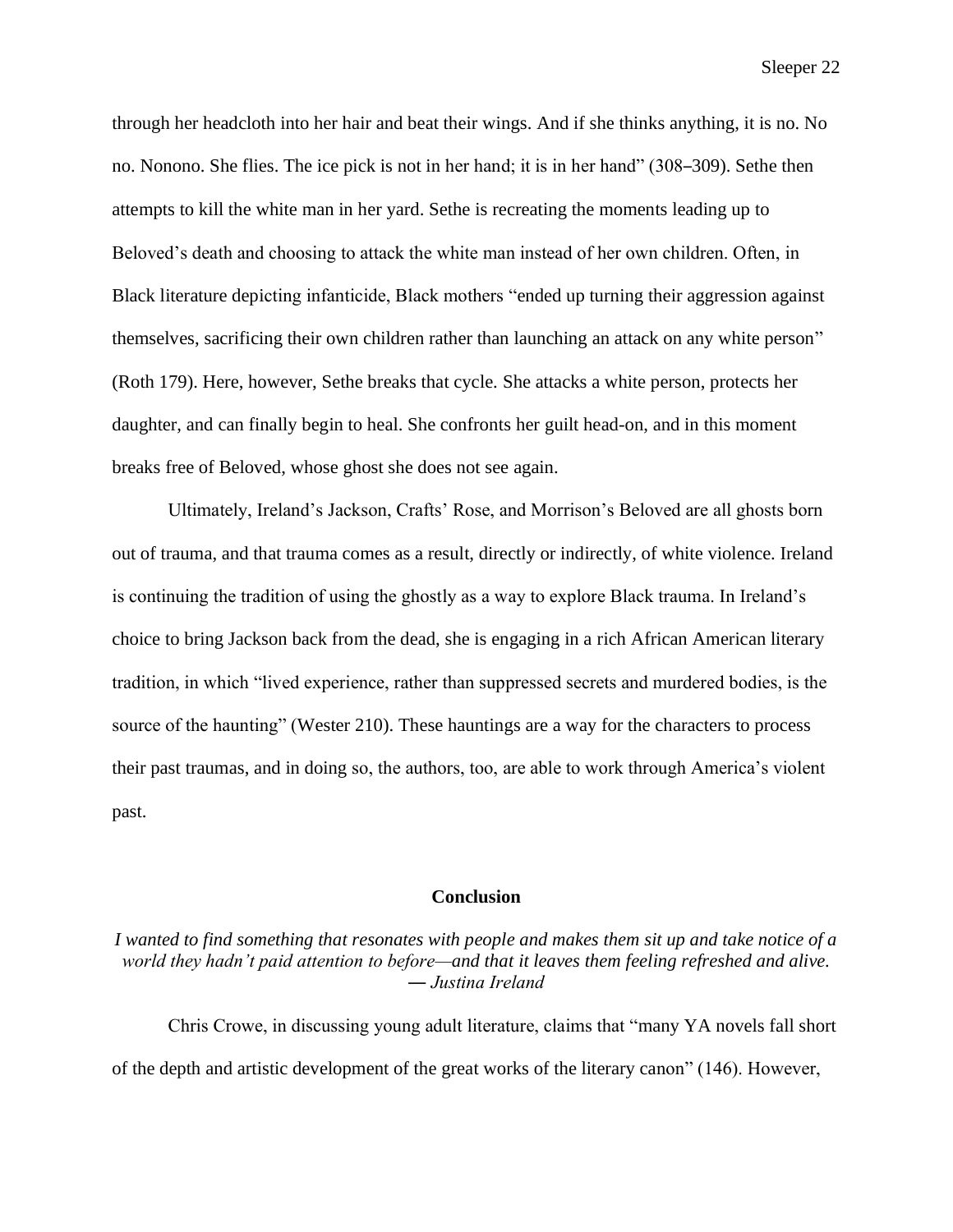through her headcloth into her hair and beat their wings. And if she thinks anything, it is no. No no. Nonono. She flies. The ice pick is not in her hand; it is in her hand" (308–309). Sethe then attempts to kill the white man in her yard. Sethe is recreating the moments leading up to Beloved's death and choosing to attack the white man instead of her own children. Often, in Black literature depicting infanticide, Black mothers "ended up turning their aggression against themselves, sacrificing their own children rather than launching an attack on any white person" (Roth 179). Here, however, Sethe breaks that cycle. She attacks a white person, protects her daughter, and can finally begin to heal. She confronts her guilt head-on, and in this moment breaks free of Beloved, whose ghost she does not see again.

Ultimately, Ireland's Jackson, Crafts' Rose, and Morrison's Beloved are all ghosts born out of trauma, and that trauma comes as a result, directly or indirectly, of white violence. Ireland is continuing the tradition of using the ghostly as a way to explore Black trauma. In Ireland's choice to bring Jackson back from the dead, she is engaging in a rich African American literary tradition, in which "lived experience, rather than suppressed secrets and murdered bodies, is the source of the haunting" (Wester 210). These hauntings are a way for the characters to process their past traumas, and in doing so, the authors, too, are able to work through America's violent past.

#### **Conclusion**

# *I wanted to find something that resonates with people and makes them sit up and take notice of a world they hadn't paid attention to before—and that it leaves them feeling refreshed and alive. ― Justina Ireland*

Chris Crowe, in discussing young adult literature, claims that "many YA novels fall short of the depth and artistic development of the great works of the literary canon" (146). However,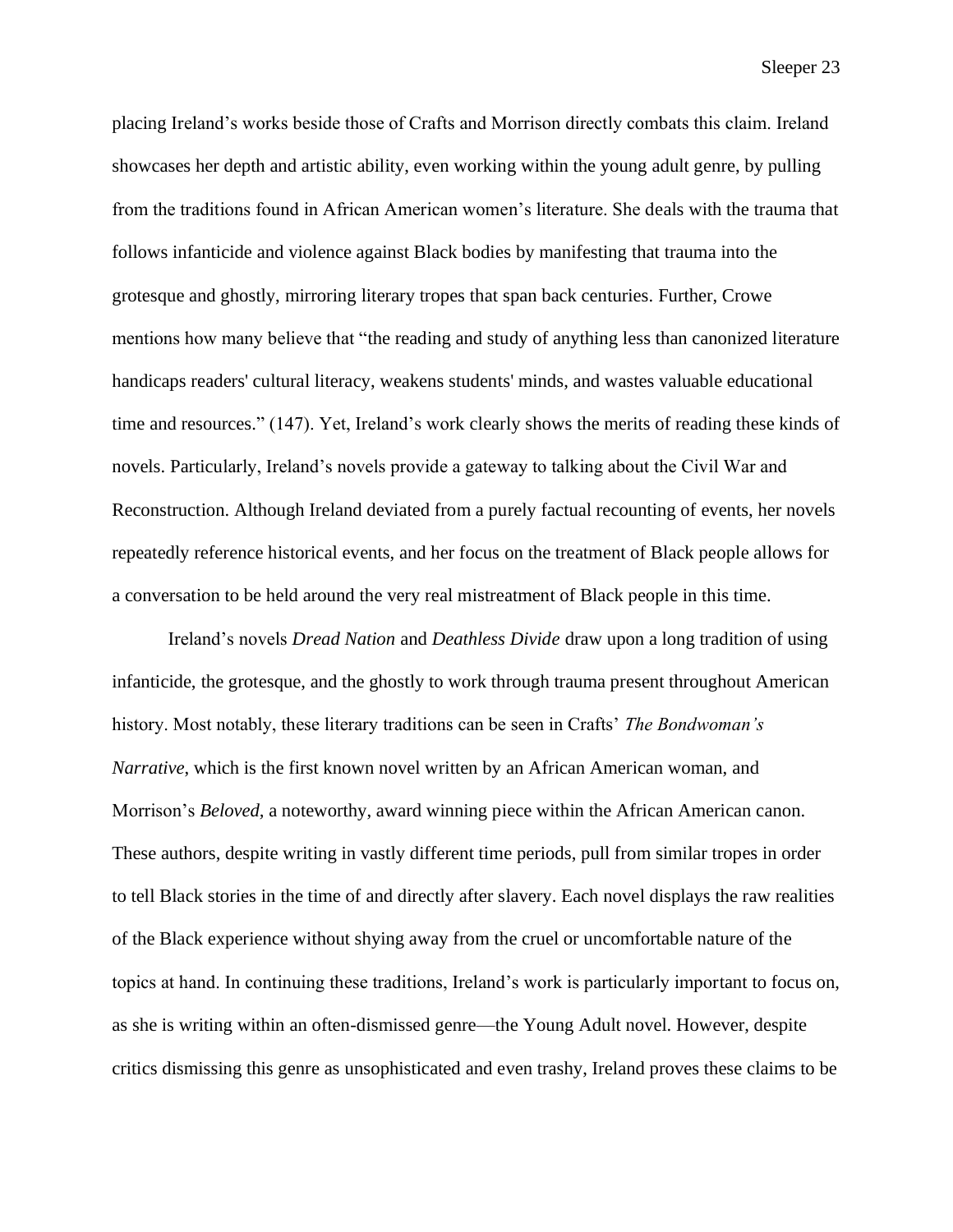placing Ireland's works beside those of Crafts and Morrison directly combats this claim. Ireland showcases her depth and artistic ability, even working within the young adult genre, by pulling from the traditions found in African American women's literature. She deals with the trauma that follows infanticide and violence against Black bodies by manifesting that trauma into the grotesque and ghostly, mirroring literary tropes that span back centuries. Further, Crowe mentions how many believe that "the reading and study of anything less than canonized literature handicaps readers' cultural literacy, weakens students' minds, and wastes valuable educational time and resources." (147). Yet, Ireland's work clearly shows the merits of reading these kinds of novels. Particularly, Ireland's novels provide a gateway to talking about the Civil War and Reconstruction. Although Ireland deviated from a purely factual recounting of events, her novels repeatedly reference historical events, and her focus on the treatment of Black people allows for a conversation to be held around the very real mistreatment of Black people in this time.

Ireland's novels *Dread Nation* and *Deathless Divide* draw upon a long tradition of using infanticide, the grotesque, and the ghostly to work through trauma present throughout American history. Most notably, these literary traditions can be seen in Crafts' *The Bondwoman's Narrative*, which is the first known novel written by an African American woman, and Morrison's *Beloved,* a noteworthy, award winning piece within the African American canon. These authors, despite writing in vastly different time periods, pull from similar tropes in order to tell Black stories in the time of and directly after slavery. Each novel displays the raw realities of the Black experience without shying away from the cruel or uncomfortable nature of the topics at hand. In continuing these traditions, Ireland's work is particularly important to focus on, as she is writing within an often-dismissed genre—the Young Adult novel. However, despite critics dismissing this genre as unsophisticated and even trashy, Ireland proves these claims to be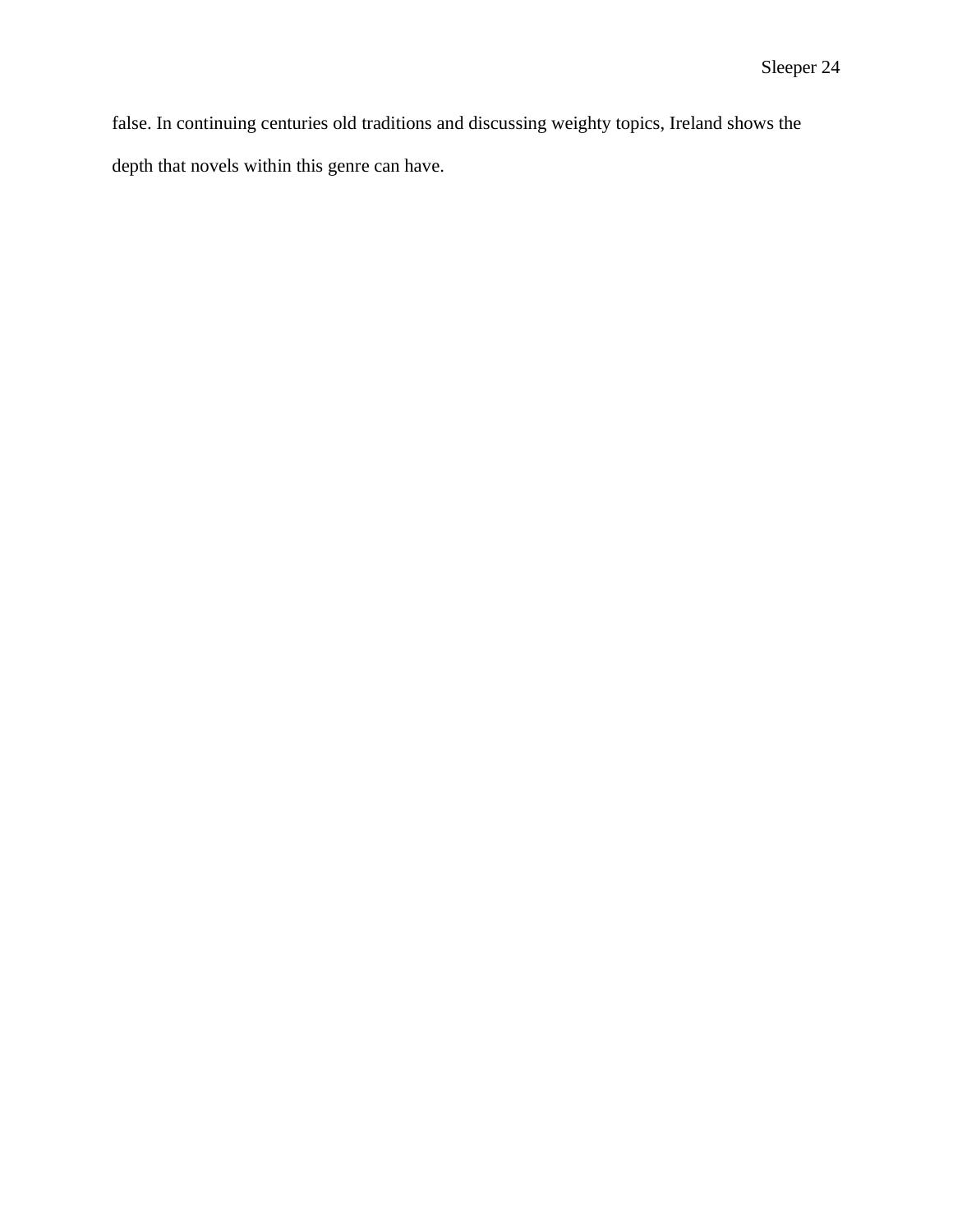false. In continuing centuries old traditions and discussing weighty topics, Ireland shows the depth that novels within this genre can have.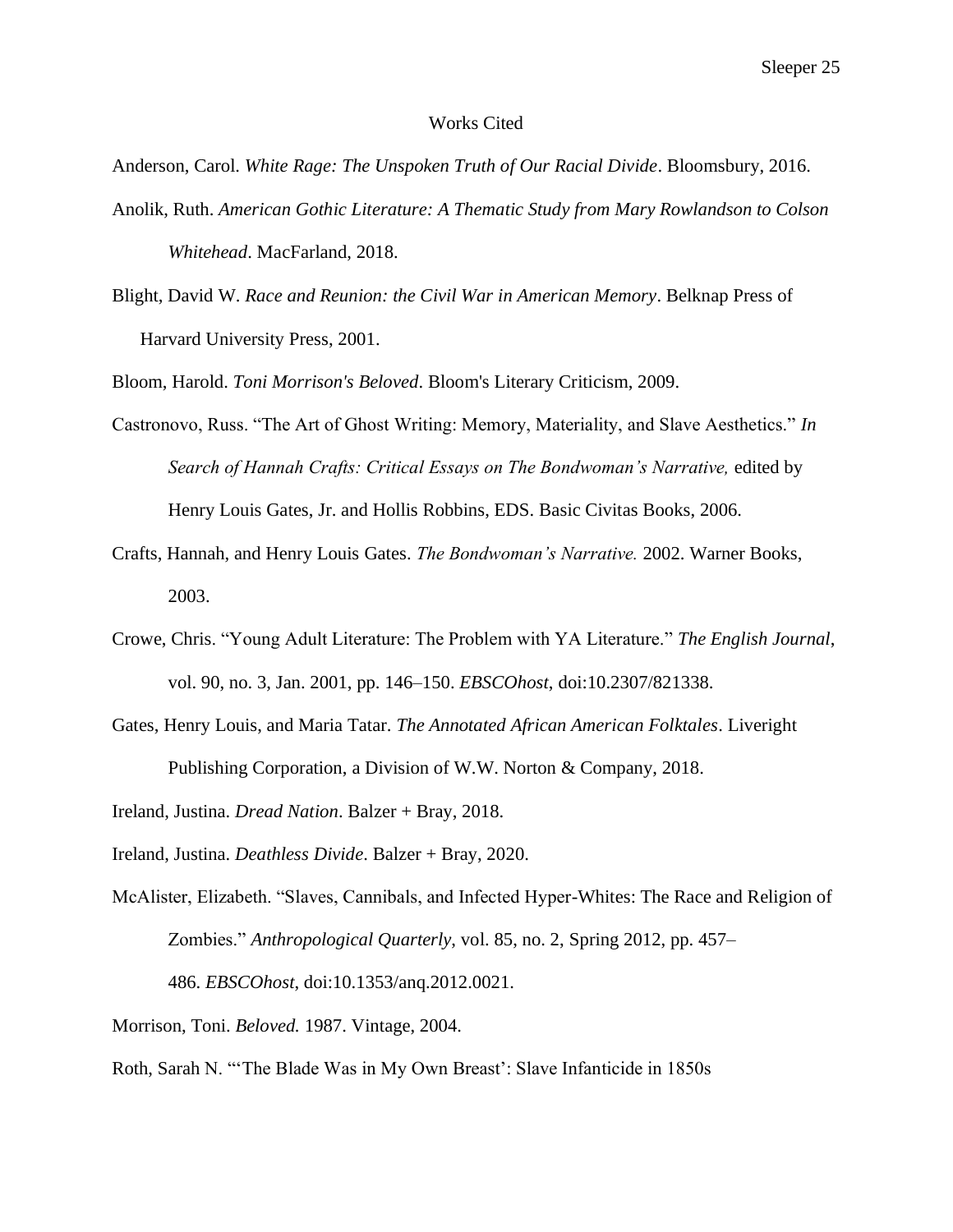#### Works Cited

Anderson, Carol. *White Rage: The Unspoken Truth of Our Racial Divide*. Bloomsbury, 2016.

- Anolik, Ruth. *American Gothic Literature: A Thematic Study from Mary Rowlandson to Colson Whitehead*. MacFarland, 2018.
- Blight, David W. *Race and Reunion: the Civil War in American Memory*. Belknap Press of Harvard University Press, 2001.

Bloom, Harold. *Toni Morrison's Beloved*. Bloom's Literary Criticism, 2009.

- Castronovo, Russ. "The Art of Ghost Writing: Memory, Materiality, and Slave Aesthetics." *In Search of Hannah Crafts: Critical Essays on The Bondwoman's Narrative,* edited by Henry Louis Gates, Jr. and Hollis Robbins, EDS. Basic Civitas Books, 2006.
- Crafts, Hannah, and Henry Louis Gates. *The Bondwoman's Narrative.* 2002. Warner Books, 2003.
- Crowe, Chris. "Young Adult Literature: The Problem with YA Literature." *The English Journal*, vol. 90, no. 3, Jan. 2001, pp. 146–150. *EBSCOhost*, doi:10.2307/821338.
- Gates, Henry Louis, and Maria Tatar. *The Annotated African American Folktales*. Liveright Publishing Corporation, a Division of W.W. Norton & Company, 2018.
- Ireland, Justina. *Dread Nation*. Balzer + Bray, 2018.
- Ireland, Justina. *Deathless Divide*. Balzer + Bray, 2020.
- McAlister, Elizabeth. "Slaves, Cannibals, and Infected Hyper-Whites: The Race and Religion of Zombies." *Anthropological Quarterly*, vol. 85, no. 2, Spring 2012, pp. 457–

486. *EBSCOhost*, doi:10.1353/anq.2012.0021.

Morrison, Toni. *Beloved.* 1987. Vintage, 2004.

Roth, Sarah N. "'The Blade Was in My Own Breast': Slave Infanticide in 1850s